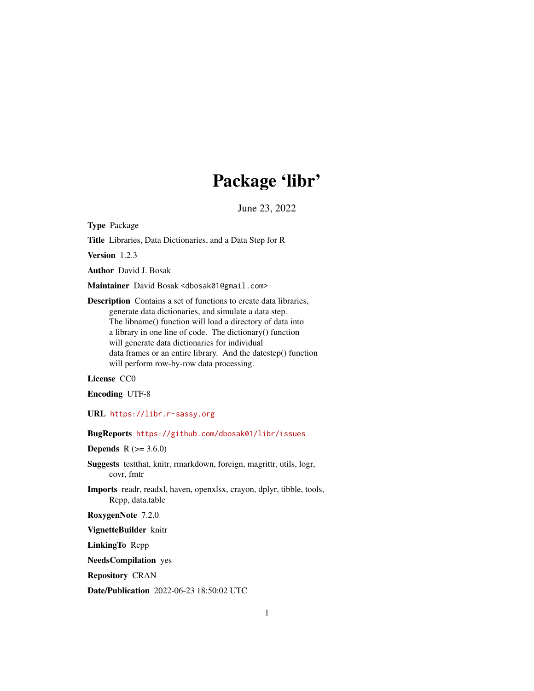# Package 'libr'

June 23, 2022

<span id="page-0-0"></span>Type Package

Title Libraries, Data Dictionaries, and a Data Step for R

Version 1.2.3

Author David J. Bosak

Maintainer David Bosak <dbosak01@gmail.com>

Description Contains a set of functions to create data libraries, generate data dictionaries, and simulate a data step. The libname() function will load a directory of data into a library in one line of code. The dictionary() function will generate data dictionaries for individual data frames or an entire library. And the datestep() function will perform row-by-row data processing.

License CC0

Encoding UTF-8

URL <https://libr.r-sassy.org>

BugReports <https://github.com/dbosak01/libr/issues>

**Depends**  $R (= 3.6.0)$ 

Suggests testthat, knitr, rmarkdown, foreign, magrittr, utils, logr, covr, fmtr

Imports readr, readxl, haven, openxlsx, crayon, dplyr, tibble, tools, Rcpp, data.table

RoxygenNote 7.2.0

VignetteBuilder knitr

LinkingTo Rcpp

NeedsCompilation yes

Repository CRAN

Date/Publication 2022-06-23 18:50:02 UTC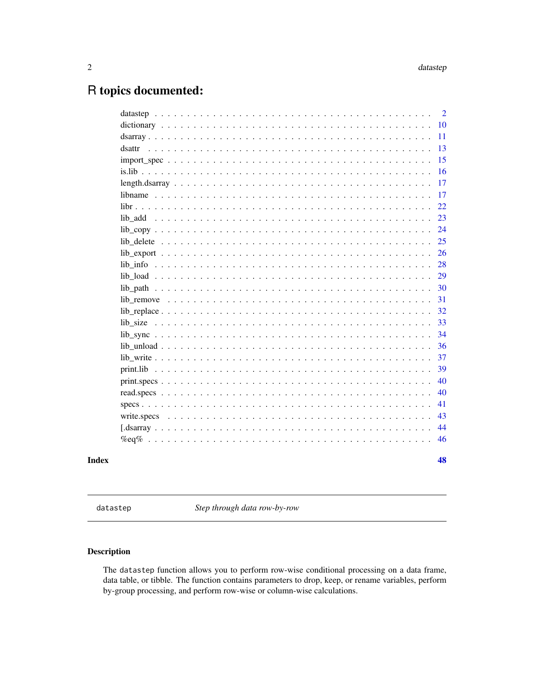# <span id="page-1-0"></span>R topics documented:

| Index |                                                                                                         | 48        |
|-------|---------------------------------------------------------------------------------------------------------|-----------|
|       |                                                                                                         | 46        |
|       |                                                                                                         | 44        |
|       |                                                                                                         | 43        |
|       |                                                                                                         | 41        |
|       |                                                                                                         | 40        |
|       |                                                                                                         | 40        |
|       |                                                                                                         | 39        |
|       |                                                                                                         | 37        |
|       |                                                                                                         | 36        |
|       |                                                                                                         | 34        |
|       |                                                                                                         | 33        |
|       |                                                                                                         | 32        |
|       |                                                                                                         | 31        |
|       |                                                                                                         | 30        |
|       |                                                                                                         | 29        |
|       |                                                                                                         | 28        |
|       |                                                                                                         | 26        |
|       | $lib\_delete \dots \dots \dots \dots \dots \dots \dots \dots \dots \dots \dots \dots \dots \dots \dots$ | 25        |
|       |                                                                                                         | 24        |
|       |                                                                                                         | 23        |
|       |                                                                                                         | 22        |
|       |                                                                                                         | 17        |
|       |                                                                                                         | 17        |
|       |                                                                                                         | 16        |
|       | dsattr                                                                                                  | 13<br>15  |
|       |                                                                                                         | <b>11</b> |
|       |                                                                                                         | <b>10</b> |
|       |                                                                                                         | 2         |
|       |                                                                                                         |           |

<span id="page-1-1"></span>datastep *Step through data row-by-row*

# Description

The datastep function allows you to perform row-wise conditional processing on a data frame, data table, or tibble. The function contains parameters to drop, keep, or rename variables, perform by-group processing, and perform row-wise or column-wise calculations.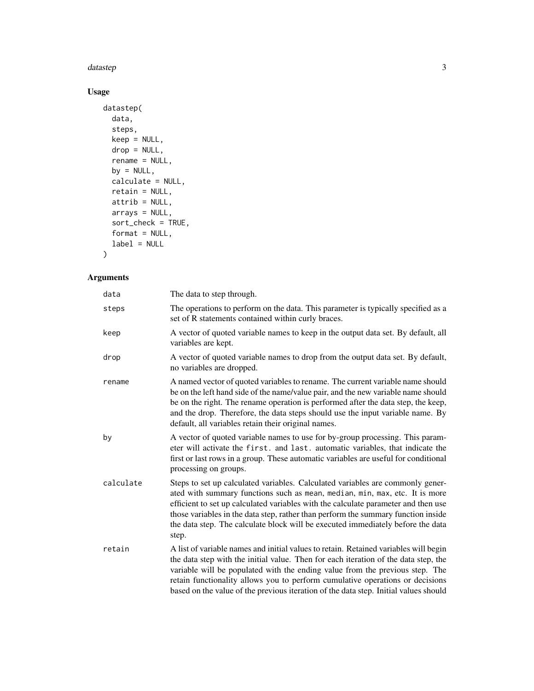#### datastep 3

# Usage

```
datastep(
 data,
  steps,
 keep = NULL,
 drop = NULL,
 rename = NULL,
 by = NULL,
 calculate = NULL,
 retain = NULL,
 attrib = NULL,arrays = NULL,
 sort_check = TRUE,
 format = NULL,label = NULL)
```
# Arguments

| data      | The data to step through.                                                                                                                                                                                                                                                                                                                                                                                                            |
|-----------|--------------------------------------------------------------------------------------------------------------------------------------------------------------------------------------------------------------------------------------------------------------------------------------------------------------------------------------------------------------------------------------------------------------------------------------|
| steps     | The operations to perform on the data. This parameter is typically specified as a<br>set of R statements contained within curly braces.                                                                                                                                                                                                                                                                                              |
| keep      | A vector of quoted variable names to keep in the output data set. By default, all<br>variables are kept.                                                                                                                                                                                                                                                                                                                             |
| drop      | A vector of quoted variable names to drop from the output data set. By default,<br>no variables are dropped.                                                                                                                                                                                                                                                                                                                         |
| rename    | A named vector of quoted variables to rename. The current variable name should<br>be on the left hand side of the name/value pair, and the new variable name should<br>be on the right. The rename operation is performed after the data step, the keep,<br>and the drop. Therefore, the data steps should use the input variable name. By<br>default, all variables retain their original names.                                    |
| by        | A vector of quoted variable names to use for by-group processing. This param-<br>eter will activate the first. and last. automatic variables, that indicate the<br>first or last rows in a group. These automatic variables are useful for conditional<br>processing on groups.                                                                                                                                                      |
| calculate | Steps to set up calculated variables. Calculated variables are commonly gener-<br>ated with summary functions such as mean, median, min, max, etc. It is more<br>efficient to set up calculated variables with the calculate parameter and then use<br>those variables in the data step, rather than perform the summary function inside<br>the data step. The calculate block will be executed immediately before the data<br>step. |
| retain    | A list of variable names and initial values to retain. Retained variables will begin<br>the data step with the initial value. Then for each iteration of the data step, the<br>variable will be populated with the ending value from the previous step. The<br>retain functionality allows you to perform cumulative operations or decisions<br>based on the value of the previous iteration of the data step. Initial values should |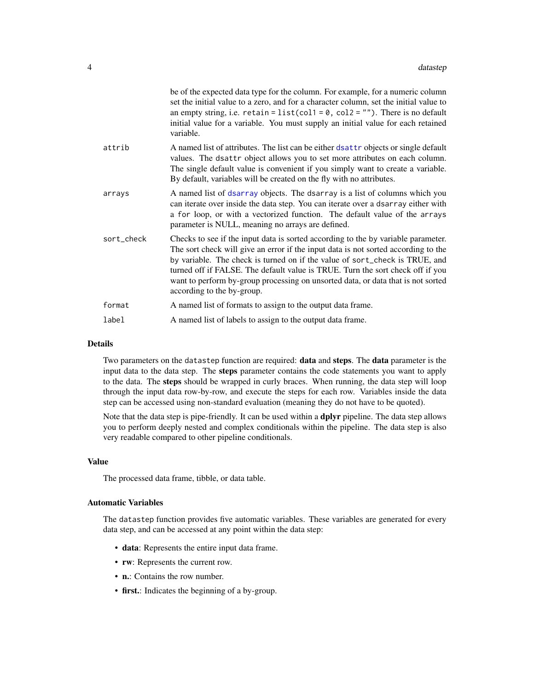<span id="page-3-0"></span>

|            | be of the expected data type for the column. For example, for a numeric column<br>set the initial value to a zero, and for a character column, set the initial value to<br>an empty string, i.e. $reta = list(coll = 0, col2 = "")$ . There is no default<br>initial value for a variable. You must supply an initial value for each retained<br>variable.                                                                                                 |
|------------|------------------------------------------------------------------------------------------------------------------------------------------------------------------------------------------------------------------------------------------------------------------------------------------------------------------------------------------------------------------------------------------------------------------------------------------------------------|
| attrib     | A named list of attributes. The list can be either ds attr objects or single default<br>values. The dsattr object allows you to set more attributes on each column.<br>The single default value is convenient if you simply want to create a variable.<br>By default, variables will be created on the fly with no attributes.                                                                                                                             |
| arrays     | A named list of dsarray objects. The dsarray is a list of columns which you<br>can iterate over inside the data step. You can iterate over a dsarray either with<br>a for loop, or with a vectorized function. The default value of the arrays<br>parameter is NULL, meaning no arrays are defined.                                                                                                                                                        |
| sort_check | Checks to see if the input data is sorted according to the by variable parameter.<br>The sort check will give an error if the input data is not sorted according to the<br>by variable. The check is turned on if the value of sort_check is TRUE, and<br>turned off if FALSE. The default value is TRUE. Turn the sort check off if you<br>want to perform by-group processing on unsorted data, or data that is not sorted<br>according to the by-group. |
| format     | A named list of formats to assign to the output data frame.                                                                                                                                                                                                                                                                                                                                                                                                |
| label      | A named list of labels to assign to the output data frame.                                                                                                                                                                                                                                                                                                                                                                                                 |
|            |                                                                                                                                                                                                                                                                                                                                                                                                                                                            |

#### Details

Two parameters on the datastep function are required: **data** and **steps**. The **data** parameter is the input data to the data step. The **steps** parameter contains the code statements you want to apply to the data. The steps should be wrapped in curly braces. When running, the data step will loop through the input data row-by-row, and execute the steps for each row. Variables inside the data step can be accessed using non-standard evaluation (meaning they do not have to be quoted).

Note that the data step is pipe-friendly. It can be used within a **dplyr** pipeline. The data step allows you to perform deeply nested and complex conditionals within the pipeline. The data step is also very readable compared to other pipeline conditionals.

#### Value

The processed data frame, tibble, or data table.

#### Automatic Variables

The datastep function provides five automatic variables. These variables are generated for every data step, and can be accessed at any point within the data step:

- data: Represents the entire input data frame.
- rw: Represents the current row.
- **n.**: Contains the row number.
- first.: Indicates the beginning of a by-group.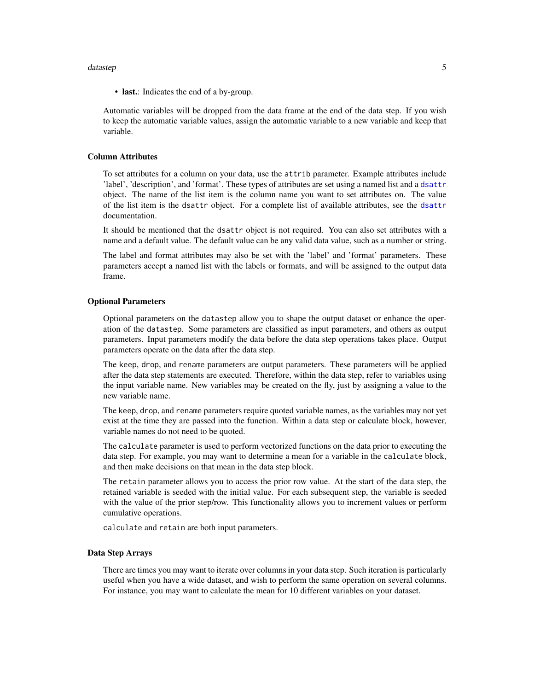#### datastep 5

• last.: Indicates the end of a by-group.

Automatic variables will be dropped from the data frame at the end of the data step. If you wish to keep the automatic variable values, assign the automatic variable to a new variable and keep that variable.

#### Column Attributes

To set attributes for a column on your data, use the attrib parameter. Example attributes include 'label', 'description', and 'format'. These types of attributes are set using a named list and a [dsattr](#page-12-1) object. The name of the list item is the column name you want to set attributes on. The value of the list item is the dsattr object. For a complete list of available attributes, see the [dsattr](#page-12-1) documentation.

It should be mentioned that the dsattr object is not required. You can also set attributes with a name and a default value. The default value can be any valid data value, such as a number or string.

The label and format attributes may also be set with the 'label' and 'format' parameters. These parameters accept a named list with the labels or formats, and will be assigned to the output data frame.

#### Optional Parameters

Optional parameters on the datastep allow you to shape the output dataset or enhance the operation of the datastep. Some parameters are classified as input parameters, and others as output parameters. Input parameters modify the data before the data step operations takes place. Output parameters operate on the data after the data step.

The keep, drop, and rename parameters are output parameters. These parameters will be applied after the data step statements are executed. Therefore, within the data step, refer to variables using the input variable name. New variables may be created on the fly, just by assigning a value to the new variable name.

The keep, drop, and rename parameters require quoted variable names, as the variables may not yet exist at the time they are passed into the function. Within a data step or calculate block, however, variable names do not need to be quoted.

The calculate parameter is used to perform vectorized functions on the data prior to executing the data step. For example, you may want to determine a mean for a variable in the calculate block, and then make decisions on that mean in the data step block.

The retain parameter allows you to access the prior row value. At the start of the data step, the retained variable is seeded with the initial value. For each subsequent step, the variable is seeded with the value of the prior step/row. This functionality allows you to increment values or perform cumulative operations.

calculate and retain are both input parameters.

#### Data Step Arrays

There are times you may want to iterate over columns in your data step. Such iteration is particularly useful when you have a wide dataset, and wish to perform the same operation on several columns. For instance, you may want to calculate the mean for 10 different variables on your dataset.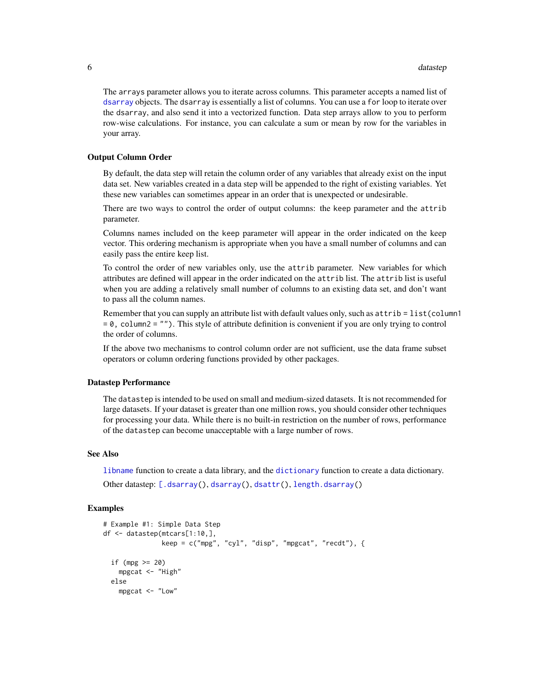The arrays parameter allows you to iterate across columns. This parameter accepts a named list of [dsarray](#page-10-1) objects. The dsarray is essentially a list of columns. You can use a for loop to iterate over the dsarray, and also send it into a vectorized function. Data step arrays allow to you to perform row-wise calculations. For instance, you can calculate a sum or mean by row for the variables in your array.

# Output Column Order

By default, the data step will retain the column order of any variables that already exist on the input data set. New variables created in a data step will be appended to the right of existing variables. Yet these new variables can sometimes appear in an order that is unexpected or undesirable.

There are two ways to control the order of output columns: the keep parameter and the attrib parameter.

Columns names included on the keep parameter will appear in the order indicated on the keep vector. This ordering mechanism is appropriate when you have a small number of columns and can easily pass the entire keep list.

To control the order of new variables only, use the attrib parameter. New variables for which attributes are defined will appear in the order indicated on the attrib list. The attrib list is useful when you are adding a relatively small number of columns to an existing data set, and don't want to pass all the column names.

Remember that you can supply an attribute list with default values only, such as attrib = list(column1)  $= 0$ , column2 = ""). This style of attribute definition is convenient if you are only trying to control the order of columns.

If the above two mechanisms to control column order are not sufficient, use the data frame subset operators or column ordering functions provided by other packages.

# Datastep Performance

The datastep is intended to be used on small and medium-sized datasets. It is not recommended for large datasets. If your dataset is greater than one million rows, you should consider other techniques for processing your data. While there is no built-in restriction on the number of rows, performance of the datastep can become unacceptable with a large number of rows.

#### See Also

[libname](#page-16-1) function to create a data library, and the [dictionary](#page-9-1) function to create a data dictionary.

Other datastep: [\[.dsarray\(](#page-43-1)), [dsarray\(](#page-10-1)), [dsattr\(](#page-12-1)), [length.dsarray\(](#page-16-2))

```
# Example #1: Simple Data Step
df <- datastep(mtcars[1:10,],
              keep = c("mpg", "cyl", "disp", "mpgcat", "rect't"),if (mpg \ge 20)
   mpgcat <- "High"
 else
   mpgcat <- "Low"
```
<span id="page-5-0"></span>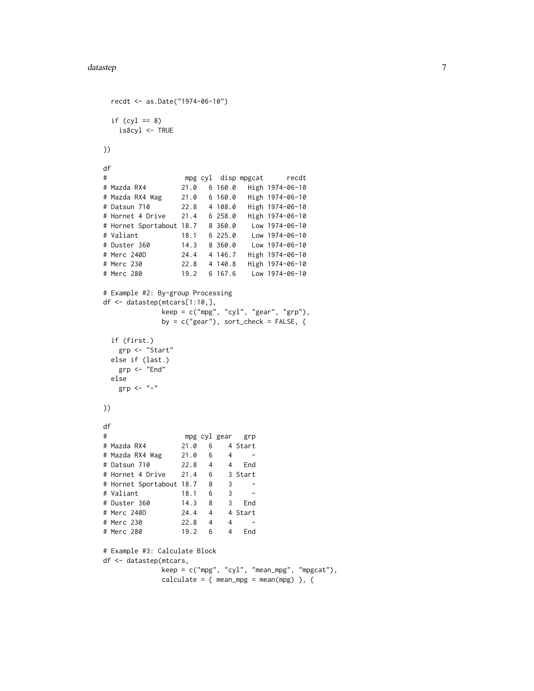```
recdt <- as.Date("1974-06-10")
 if (cyl == 8)is8cyl <- TRUE
})
df
# mpg cyl disp mpgcat recdt
# Mazda RX4 21.0 6 160.0 High 1974-06-10
# Mazda RX4 Wag 21.0 6 160.0 High 1974-06-10
# Datsun 710 22.8 4 108.0 High 1974-06-10
# Hornet 4 Drive 21.4 6 258.0 High 1974-06-10
# Hornet Sportabout 18.7 8 360.0 Low 1974-06-10
# Valiant 18.1 6 225.0 Low 1974-06-10
# Duster 360 14.3 8 360.0 Low 1974-06-10
# Merc 240D 24.4 4 146.7 High 1974-06-10
# Merc 230 22.8 4 140.8 High 1974-06-10
# Merc 280 19.2 6 167.6 Low 1974-06-10
# Example #2: By-group Processing
df <- datastep(mtcars[1:10,],
            keep = c("mpg", "cyl", "gear", "grp"),by = c("year"), sort_check = FALSE, {
 if (first.)
   grp <- "Start"
 else if (last.)
   grp <- "End"
 else
  grp \leftarrow "-"
})
df
# mpg cyl gear grp
# Mazda RX4 21.0 6 4 Start
# Mazda RX4 Wag 21.0 6 4 -
# Datsun 710 22.8 4 4 End
# Hornet 4 Drive 21.4 6 3 Start
# Hornet Sportabout 18.7 8 3 -
# Valiant 18.1 6 3 -
# Duster 360 14.3 8 3 End
# Merc 240D 24.4 4 4 Start
# Merc 230 22.8 4 4 -
# Merc 280 19.2 6 4 End
# Example #3: Calculate Block
df <- datastep(mtcars,
            keep = c("mpg", "cyl", "mean_mpg", "mpgcat"),
            calculate = \{ mean_mpg = mean(mpg) \}, \{
```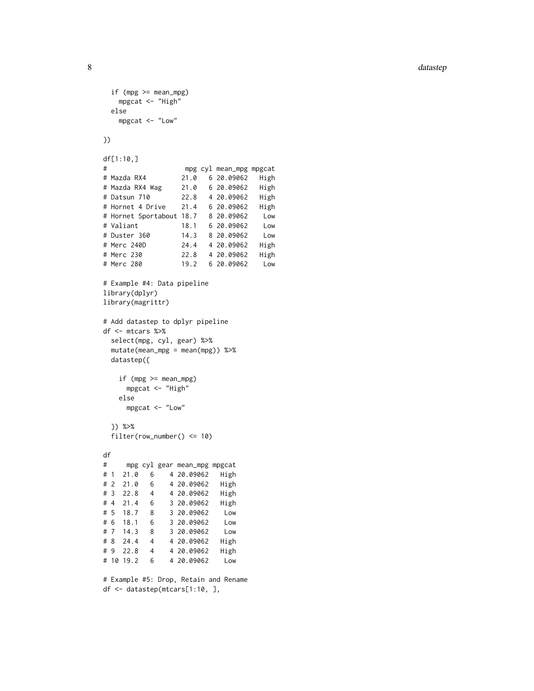```
if (mpg \ge mean_mpg)mpgcat <- "High"
 else
   mpgcat <- "Low"
})
df[1:10,]
# mpg cyl mean_mpg mpgcat
# Mazda RX4 21.0 6 20.09062 High
# Mazda RX4 Wag 21.0 6 20.09062 High
# Datsun 710 22.8 4 20.09062 High
# Hornet 4 Drive 21.4 6 20.09062 High
# Hornet Sportabout 18.7 8 20.09062 Low
# Valiant 18.1 6 20.09062 Low
# Duster 360 14.3 8 20.09062 Low
# Merc 240D 24.4 4 20.09062 High
# Merc 230 22.8 4 20.09062 High
# Merc 280 19.2 6 20.09062 Low
# Example #4: Data pipeline
library(dplyr)
library(magrittr)
# Add datastep to dplyr pipeline
df <- mtcars %>%
 select(mpg, cyl, gear) %>%
 mutate(mean_mpg = mean(mpg)) %>%
 datastep({
   if (mpg >= mean_mpg)
     mpgcat <- "High"
   else
     mpgcat <- "Low"
 }) %>%
 filter(row_number() <= 10)
df
# mpg cyl gear mean_mpg mpgcat
# 1 21.0 6 4 20.09062 High
# 2 21.0 6 4 20.09062 High
# 3 22.8 4 4 20.09062 High
# 4 21.4 6 3 20.09062 High
         8 3 20.09062 Low
# 6 18.1 6 3 20.09062 Low
# 7 14.3 8 3 20.09062 Low
# 8 24.4 4 4 20.09062 High
# 9 22.8 4 4 20.09062 High
# 10 19.2 6 4 20.09062 Low
```
# Example #5: Drop, Retain and Rename df <- datastep(mtcars[1:10, ],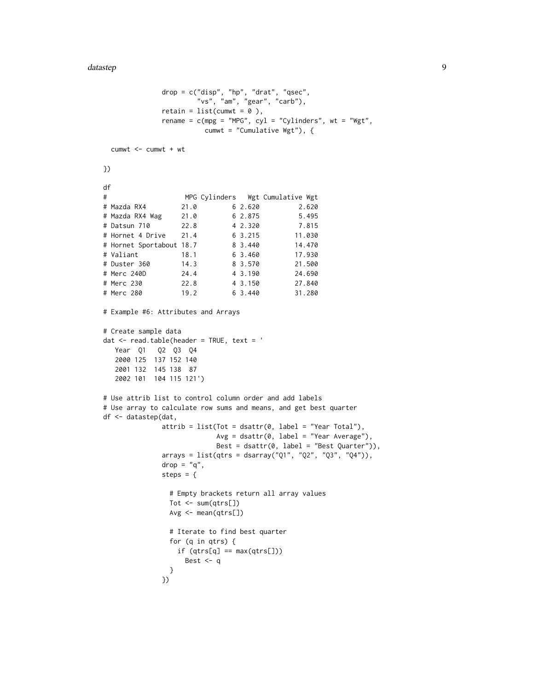```
drop = c("disp", "hp", "drat", "qsec","vs", "am", "gear", "carb"),
            reta = list(cumwt = 0),rename = c(mpg = "MPG", cyl = "Cylinder's", wt = "Wgt",cumwt = "Cumulative Wgt"), {
 cumwt <- cumwt + wt
})
df
# MPG Cylinders Wgt Cumulative Wgt
# Mazda RX4 21.0 6 2.620 2.620
# Mazda RX4 Wag 21.0 6 2.875 5.495
# Datsun 710 22.8 4 2.320 7.815
# Hornet 4 Drive 21.4 6 3.215 11.030
# Hornet Sportabout 18.7 8 3.440 14.470
# Valiant 18.1 6 3.460 17.930
# Duster 360 14.3 8 3.570 21.500
# Merc 240D 24.4 4 3.190 24.690
# Merc 230 22.8 4 3.150 27.840
# Merc 280 19.2 6 3.440 31.280
# Example #6: Attributes and Arrays
# Create sample data
dat \leq read.table(header = TRUE, text = '
  Year Q1 Q2 Q3 Q4
  2000 125 137 152 140
  2001 132 145 138 87
  2002 101 104 115 121')
# Use attrib list to control column order and add labels
# Use array to calculate row sums and means, and get best quarter
df <- datastep(dat,
            attribute = list(Tot = dsattr(0, label = "Year Total"),Avg = dsattr(0, label = "Year Average"),
                        Best = dsattr(0, label = "Best Quarter")),
            array = list(qtrs = disarray("Q1", "Q2", "Q3", "Q4")),
            drop = "q",steps = \{# Empty brackets return all array values
              Tot <- sum(qtrs[])
              Avg <- mean(qtrs[])
              # Iterate to find best quarter
              for (q in qtrs) {
               if (qtrs[q] == max(qtrs[]))Best <-q}
            })
```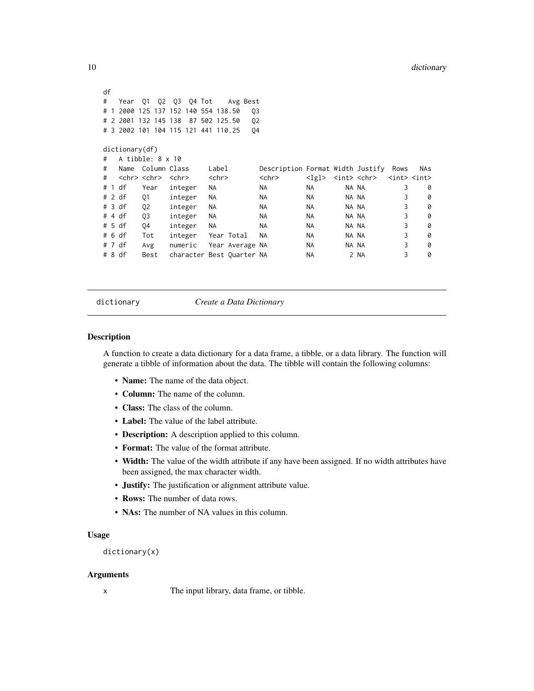<span id="page-9-0"></span>

| df |                |                         |              |                                     |                |                                       |     |                                                             |   |     |
|----|----------------|-------------------------|--------------|-------------------------------------|----------------|---------------------------------------|-----|-------------------------------------------------------------|---|-----|
| #  | Year           | 01                      | 02 03 04 Tot |                                     | Avg Best       |                                       |     |                                                             |   |     |
|    |                |                         |              | # 1 2000 125 137 152 140 554 138.50 | Q3             |                                       |     |                                                             |   |     |
|    |                | # 2 2001 132 145 138    |              | 87 502 125.50                       | Q <sub>2</sub> |                                       |     |                                                             |   |     |
|    |                |                         |              | # 3 2002 101 104 115 121 441 110.25 | 04             |                                       |     |                                                             |   |     |
|    |                |                         |              |                                     |                |                                       |     |                                                             |   |     |
|    | dictionary(df) |                         |              |                                     |                |                                       |     |                                                             |   |     |
| #  |                | A tibble: $8 \times 10$ |              |                                     |                |                                       |     |                                                             |   |     |
| #  |                | Name Column Class       |              | Label                               |                | Description Format Width Justify Rows |     |                                                             |   | NAs |
| #  |                | <chr> <chr></chr></chr> | <chr></chr>  | $<$ chr $>$                         |                | <chr></chr>                           |     | <lgl> <int> <chr> <int> <int></int></int></chr></int></lgl> |   |     |
|    | # 1 df         | Year                    | integer      | NA.                                 |                | NA.                                   | NA. | NA NA                                                       | 3 | 0   |
|    | # 2 df         | Q1                      | integer      | NA.                                 |                | NA.                                   | NA  | NA NA                                                       | 3 | 0   |
|    | # 3 df         | Q <sub>2</sub>          | integer      | NA.                                 |                | NA.                                   | NA  | NA NA                                                       | 3 | 0   |
|    | # 4 df         | Q3                      | integer      | NA.                                 |                | NA.                                   | NA. | NA NA                                                       | 3 | 0   |
|    | # 5 df         | Q4                      | integer      | <b>NA</b>                           |                | NA.                                   | NA. | NA NA                                                       | 3 | 0   |
|    | # 6 df         | Tot                     | integer      | Year Total                          |                | NA.                                   | NA. | NA NA                                                       | 3 | 0   |
|    | # 7 df         | Avg                     | numeric      | Year Average NA                     |                |                                       | NA. | NA NA                                                       | 3 | 0   |
|    | # 8 df         | Best                    |              | character Best Quarter NA           |                |                                       | NА  | 2 NA                                                        | 3 | 0   |
|    |                |                         |              |                                     |                |                                       |     |                                                             |   |     |

<span id="page-9-1"></span>dictionary *Create a Data Dictionary*

# Description

A function to create a data dictionary for a data frame, a tibble, or a data library. The function will generate a tibble of information about the data. The tibble will contain the following columns:

- Name: The name of the data object.
- Column: The name of the column.
- Class: The class of the column.
- Label: The value of the label attribute.
- Description: A description applied to this column.
- Format: The value of the format attribute.
- Width: The value of the width attribute if any have been assigned. If no width attributes have been assigned, the max character width.
- Justify: The justification or alignment attribute value.
- Rows: The number of data rows.
- NAs: The number of NA values in this column.

# Usage

```
dictionary(x)
```
#### Arguments

x The input library, data frame, or tibble.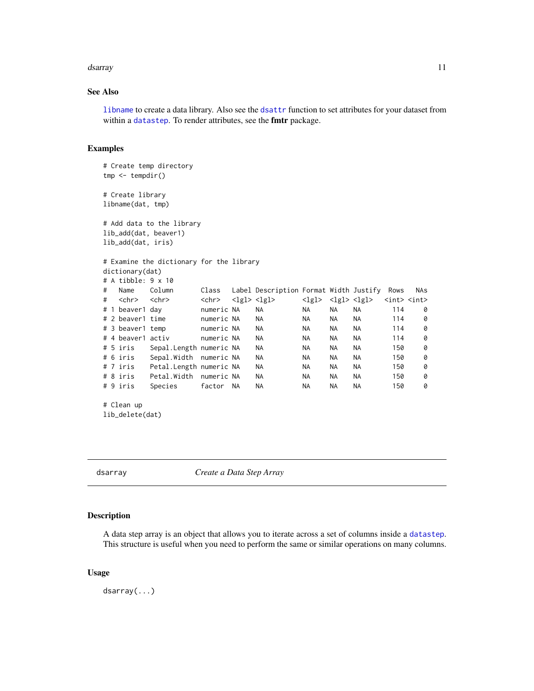#### <span id="page-10-0"></span>dsarray the contract of the contract of the contract of the contract of the contract of the contract of the contract of the contract of the contract of the contract of the contract of the contract of the contract of the co

# See Also

[libname](#page-16-1) to create a data library. Also see the [dsattr](#page-12-1) function to set attributes for your dataset from within a [datastep](#page-1-1). To render attributes, see the fmtr package.

# Examples

```
# Create temp directory
tmp <- tempdir()
# Create library
libname(dat, tmp)
# Add data to the library
lib_add(dat, beaver1)
lib_add(dat, iris)
# Examine the dictionary for the library
dictionary(dat)
# A tibble: 9 x 10
# Name Column Class Label Description Format Width Justify Rows NAs
# <chr> <chr> <chr> <lgl> <lgl> <lgl> <lgl> <lgl> <int> <int>
# 1 beaver1 day numeric NA NA NA NA NA 114 0
# 2 beaver1 time numeric NA NA NA NA NA 114 0
# 3 beaver1 temp numeric NA NA NA NA NA 114 0
# 4 beaver1 activ numeric NA NA NA NA NA 114 0
# 5 iris Sepal.Length numeric NA NA NA NA NA 150 0
# 6 iris Sepal.Width numeric NA NA NA NA NA 150 0
# 7 iris Petal.Length numeric NA NA NA NA NA 150 0
# 8 iris Petal.Width numeric NA NA NA NA NA 150 0
# 9 iris Species factor NA NA NA NA NA 150 0
# Clean up
lib_delete(dat)
```
<span id="page-10-1"></span>

dsarray *Create a Data Step Array*

#### Description

A data step array is an object that allows you to iterate across a set of columns inside a [datastep](#page-1-1). This structure is useful when you need to perform the same or similar operations on many columns.

# Usage

dsarray(...)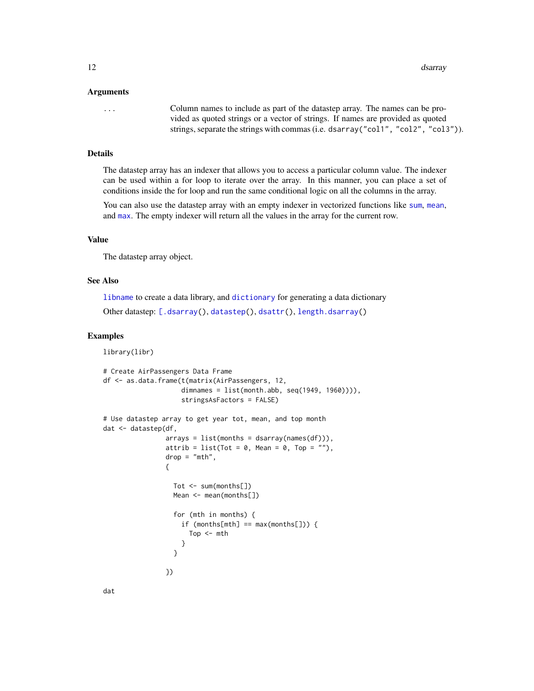<span id="page-11-0"></span>12 dsarray distribution of the set of the set of the set of the set of the set of the set of the set of the set of the set of the set of the set of the set of the set of the set of the set of the set of the set of the set

#### Arguments

... Column names to include as part of the datastep array. The names can be provided as quoted strings or a vector of strings. If names are provided as quoted strings, separate the strings with commas (i.e. dsarray("col1", "col2", "col3")).

# Details

The datastep array has an indexer that allows you to access a particular column value. The indexer can be used within a for loop to iterate over the array. In this manner, you can place a set of conditions inside the for loop and run the same conditional logic on all the columns in the array.

You can also use the datastep array with an empty indexer in vectorized functions like [sum](#page-0-0), [mean](#page-0-0), and [max](#page-0-0). The empty indexer will return all the values in the array for the current row.

# Value

The datastep array object.

# See Also

[libname](#page-16-1) to create a data library, and [dictionary](#page-9-1) for generating a data dictionary

Other datastep: [\[.dsarray\(](#page-43-1)), [datastep\(](#page-1-1)), [dsattr\(](#page-12-1)), [length.dsarray\(](#page-16-2))

```
library(libr)
# Create AirPassengers Data Frame
df <- as.data.frame(t(matrix(AirPassengers, 12,
                    dimnames = list(month.abb, seq(1949, 1960)))),
                    stringsAsFactors = FALSE)
# Use datastep array to get year tot, mean, and top month
dat <- datastep(df,
                arrays = list(months = dsarray(names(df))).attrib = list(Tot = \theta, Mean = \theta, Top = ""),
                drop = "mth",{
                  Tot <- sum(months[])
                  Mean <- mean(months[])
                  for (mth in months) {
                    if (months[mth] == max(months[])) {
                      Top <- mth
                    }
                  }
                })
```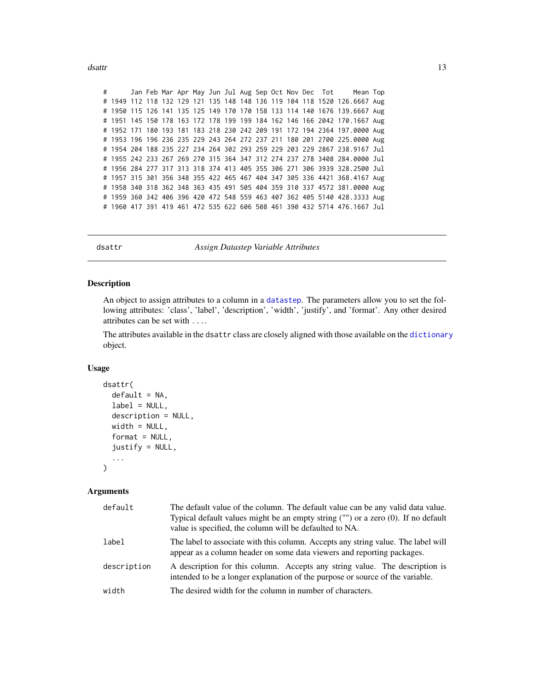#### <span id="page-12-0"></span>dsattr and the set of the set of the set of the set of the set of the set of the set of the set of the set of the set of the set of the set of the set of the set of the set of the set of the set of the set of the set of th

# Jan Feb Mar Apr May Jun Jul Aug Sep Oct Nov Dec Tot Mean Top # 1949 112 118 132 129 121 135 148 148 136 119 104 118 1520 126.6667 Aug # 1950 115 126 141 135 125 149 170 170 158 133 114 140 1676 139.6667 Aug # 1951 145 150 178 163 172 178 199 199 184 162 146 166 2042 170.1667 Aug # 1952 171 180 193 181 183 218 230 242 209 191 172 194 2364 197.0000 Aug # 1953 196 196 236 235 229 243 264 272 237 211 180 201 2700 225.0000 Aug # 1954 204 188 235 227 234 264 302 293 259 229 203 229 2867 238.9167 Jul # 1955 242 233 267 269 270 315 364 347 312 274 237 278 3408 284.0000 Jul # 1956 284 277 317 313 318 374 413 405 355 306 271 306 3939 328.2500 Jul # 1957 315 301 356 348 355 422 465 467 404 347 305 336 4421 368.4167 Aug # 1958 340 318 362 348 363 435 491 505 404 359 310 337 4572 381.0000 Aug # 1959 360 342 406 396 420 472 548 559 463 407 362 405 5140 428.3333 Aug # 1960 417 391 419 461 472 535 622 606 508 461 390 432 5714 476.1667 Jul

dsattr *Assign Datastep Variable Attributes*

# Description

An object to assign attributes to a column in a [datastep](#page-1-1). The parameters allow you to set the following attributes: 'class', 'label', 'description', 'width', 'justify', and 'format'. Any other desired attributes can be set with ....

The attributes available in the dsattr class are closely aligned with those available on the [dictionary](#page-9-1) object.

# Usage

```
dsattr(
  default = NA,
  label = NULL,description = NULL,
  width = NULL,
  format = NULL,justify = NULL,
  ...
\lambda
```
#### Arguments

| default     | The default value of the column. The default value can be any valid data value.<br>Typical default values might be an empty string ("") or a zero (0). If no default<br>value is specified, the column will be defaulted to NA. |
|-------------|---------------------------------------------------------------------------------------------------------------------------------------------------------------------------------------------------------------------------------|
| label       | The label to associate with this column. Accepts any string value. The label will<br>appear as a column header on some data viewers and reporting packages.                                                                     |
| description | A description for this column. Accepts any string value. The description is<br>intended to be a longer explanation of the purpose or source of the variable.                                                                    |
| width       | The desired width for the column in number of characters.                                                                                                                                                                       |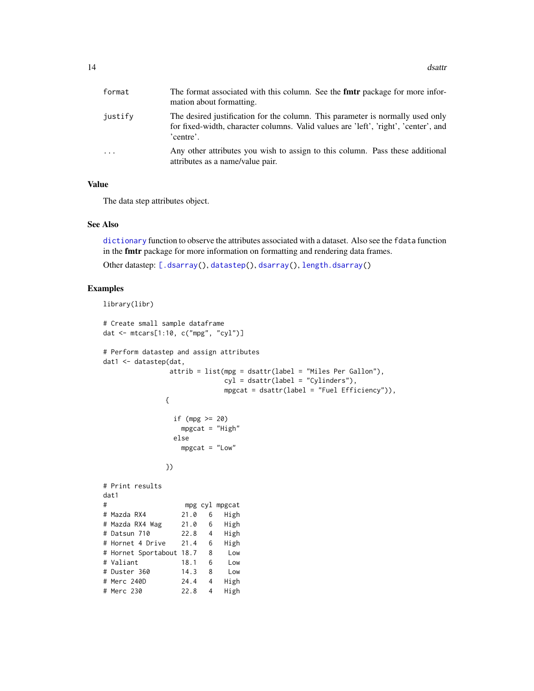<span id="page-13-0"></span>

| format  | The format associated with this column. See the <b>fmtr</b> package for more infor-<br>mation about formatting.                                                                    |
|---------|------------------------------------------------------------------------------------------------------------------------------------------------------------------------------------|
| justify | The desired justification for the column. This parameter is normally used only<br>for fixed-width, character columns. Valid values are 'left', 'right', 'center', and<br>'centre'. |
| $\cdot$ | Any other attributes you wish to assign to this column. Pass these additional<br>attributes as a name/value pair.                                                                  |

# Value

The data step attributes object.

#### See Also

[dictionary](#page-9-1) function to observe the attributes associated with a dataset. Also see the fdata function in the fmtr package for more information on formatting and rendering data frames.

Other datastep: [\[.dsarray\(](#page-43-1)), [datastep\(](#page-1-1)), [dsarray\(](#page-10-1)), [length.dsarray\(](#page-16-2))

```
library(libr)
```

```
# Create small sample dataframe
dat <- mtcars[1:10, c("mpg", "cyl")]
# Perform datastep and assign attributes
dat1 <- datastep(dat,
              attrib = list(mpg = dsattr(label = "Miles Per Gallon"),
                          cyl = dsattr(label = "Cylinders"),
                          mpgcat = dsattr(label = "Fuel Efficiency")),
             {
               if (mpg \ge 20)
                mpgcat = "High"
               else
                mpgcat = "Low"
             })
# Print results
dat1
# mpg cyl mpgcat
# Mazda RX4 21.0 6 High
# Mazda RX4 Wag 21.0 6 High
# Datsun 710 22.8 4 High
# Hornet 4 Drive 21.4 6 High
# Hornet Sportabout 18.7 8 Low
# Valiant 18.1 6 Low
# Duster 360 14.3 8 Low
# Merc 240D 24.4 4 High
# Merc 230 22.8 4 High
```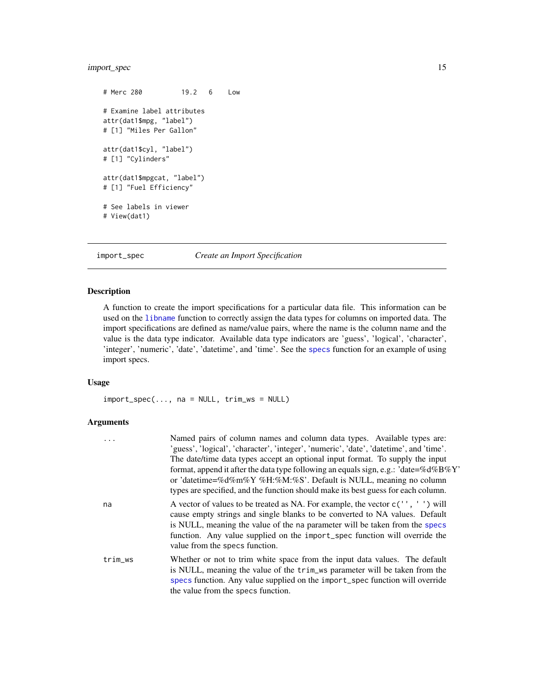# <span id="page-14-0"></span>import\_spec 15

```
# Merc 280 19.2 6 Low
# Examine label attributes
attr(dat1$mpg, "label")
# [1] "Miles Per Gallon"
attr(dat1$cyl, "label")
# [1] "Cylinders"
attr(dat1$mpgcat, "label")
# [1] "Fuel Efficiency"
# See labels in viewer
# View(dat1)
```
<span id="page-14-1"></span>import\_spec *Create an Import Specification*

#### Description

A function to create the import specifications for a particular data file. This information can be used on the [libname](#page-16-1) function to correctly assign the data types for columns on imported data. The import specifications are defined as name/value pairs, where the name is the column name and the value is the data type indicator. Available data type indicators are 'guess', 'logical', 'character', 'integer', 'numeric', 'date', 'datetime', and 'time'. See the [specs](#page-40-1) function for an example of using import specs.

#### Usage

 $import\_spec(..., na = NULL, trim\_ws = NULL)$ 

# Arguments

| $\cdots$ | Named pairs of column names and column data types. Available types are:<br>'guess', 'logical', 'character', 'integer', 'numeric', 'date', 'datetime', and 'time'.                                                                                                                                                                                              |
|----------|----------------------------------------------------------------------------------------------------------------------------------------------------------------------------------------------------------------------------------------------------------------------------------------------------------------------------------------------------------------|
|          | The date/time data types accept an optional input format. To supply the input<br>format, append it after the data type following an equals sign, e.g.: 'date=% $d\&B\&Y'$ '<br>or 'datetime=%d%m%Y %H:%M:%S'. Default is NULL, meaning no column<br>types are specified, and the function should make its best guess for each column.                          |
| na       | A vector of values to be treated as NA. For example, the vector $c('', '')$ will<br>cause empty strings and single blanks to be converted to NA values. Default<br>is NULL, meaning the value of the na parameter will be taken from the specs<br>function. Any value supplied on the import_spec function will override the<br>value from the specs function. |
| trim_ws  | Whether or not to trim white space from the input data values. The default<br>is NULL, meaning the value of the trim we parameter will be taken from the<br>specs function. Any value supplied on the import_spec function will override<br>the value from the specs function.                                                                                 |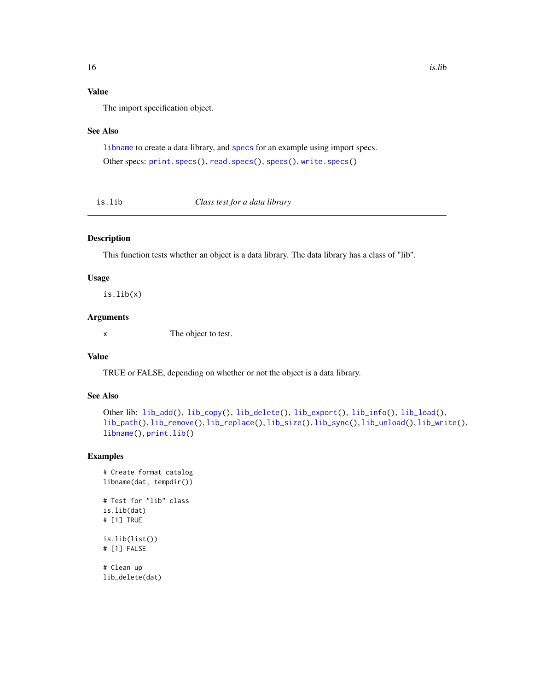# <span id="page-15-0"></span>Value

The import specification object.

# See Also

[libname](#page-16-1) to create a data library, and [specs](#page-40-1) for an example using import specs. Other specs: [print.specs\(](#page-39-1)), [read.specs\(](#page-39-2)), [specs\(](#page-40-1)), [write.specs\(](#page-42-1))

<span id="page-15-1"></span>

| w<br>۰.<br>× |  | ۰. |
|--------------|--|----|

*Class test for a data library* 

# Description

This function tests whether an object is a data library. The data library has a class of "lib".

# Usage

is.lib(x)

# Arguments

x The object to test.

# Value

TRUE or FALSE, depending on whether or not the object is a data library.

# See Also

```
Other lib: lib_add(), lib_copy(), lib_delete(), lib_export(), lib_info(), lib_load(),
lib_path(), lib_remove(), lib_replace(), lib_size(), lib_sync(), lib_unload(), lib_write(),
libname(), print.lib()
```
# Examples

```
# Create format catalog
libname(dat, tempdir())
# Test for "lib" class
```

```
is.lib(dat)
# [1] TRUE
is.lib(list())
# [1] FALSE
```
# Clean up lib\_delete(dat)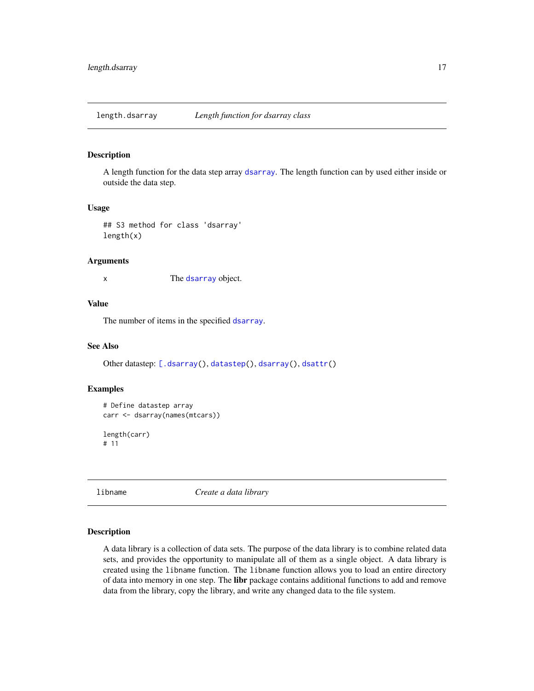<span id="page-16-2"></span><span id="page-16-0"></span>length.dsarray *Length function for dsarray class*

# Description

A length function for the data step array [dsarray](#page-10-1). The length function can by used either inside or outside the data step.

#### Usage

## S3 method for class 'dsarray' length(x)

#### Arguments

x The [dsarray](#page-10-1) object.

# Value

The number of items in the specified [dsarray](#page-10-1).

# See Also

Other datastep: [\[.dsarray\(](#page-43-1)), [datastep\(](#page-1-1)), [dsarray\(](#page-10-1)), [dsattr\(](#page-12-1))

# Examples

```
# Define datastep array
carr <- dsarray(names(mtcars))
length(carr)
# 11
```
<span id="page-16-1"></span>libname *Create a data library*

# Description

A data library is a collection of data sets. The purpose of the data library is to combine related data sets, and provides the opportunity to manipulate all of them as a single object. A data library is created using the libname function. The libname function allows you to load an entire directory of data into memory in one step. The libr package contains additional functions to add and remove data from the library, copy the library, and write any changed data to the file system.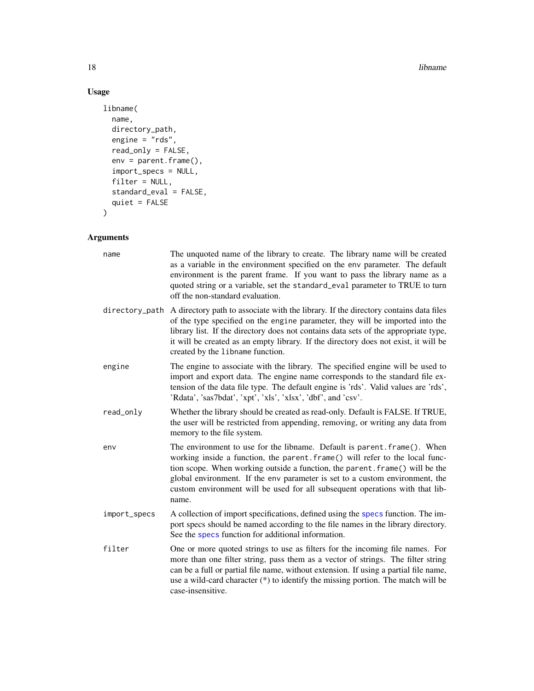#### 18 libname **18** libname **18** libname **18** libname **18** libname **18** libname **18** libname **18** libname **18** libname **18** libname **18** libname **18** libname **18** libname **18** libname **18** libname **18** libname **18** libname **18**

# Usage

```
libname(
  name,
  directory_path,
  engine = "rds",
  read_only = FALSE,
  env = parent.frame(),
  import_specs = NULL,
  filter = NULL,
  standard_eval = FALSE,
  quiet = FALSE
\mathcal{L}
```
# Arguments

| name         | The unquoted name of the library to create. The library name will be created<br>as a variable in the environment specified on the env parameter. The default<br>environment is the parent frame. If you want to pass the library name as a<br>quoted string or a variable, set the standard_eval parameter to TRUE to turn<br>off the non-standard evaluation.                                                    |
|--------------|-------------------------------------------------------------------------------------------------------------------------------------------------------------------------------------------------------------------------------------------------------------------------------------------------------------------------------------------------------------------------------------------------------------------|
|              | directory_path A directory path to associate with the library. If the directory contains data files<br>of the type specified on the engine parameter, they will be imported into the<br>library list. If the directory does not contains data sets of the appropriate type,<br>it will be created as an empty library. If the directory does not exist, it will be<br>created by the libname function.            |
| engine       | The engine to associate with the library. The specified engine will be used to<br>import and export data. The engine name corresponds to the standard file ex-<br>tension of the data file type. The default engine is 'rds'. Valid values are 'rds',<br>'Rdata', 'sas7bdat', 'xpt', 'xls', 'xlsx', 'dbf', and 'csv'.                                                                                             |
| read_only    | Whether the library should be created as read-only. Default is FALSE. If TRUE,<br>the user will be restricted from appending, removing, or writing any data from<br>memory to the file system.                                                                                                                                                                                                                    |
| env          | The environment to use for the libname. Default is parent. frame(). When<br>working inside a function, the parent. frame() will refer to the local func-<br>tion scope. When working outside a function, the parent. frame() will be the<br>global environment. If the env parameter is set to a custom environment, the<br>custom environment will be used for all subsequent operations with that lib-<br>name. |
| import_specs | A collection of import specifications, defined using the specs function. The im-<br>port specs should be named according to the file names in the library directory.<br>See the specs function for additional information.                                                                                                                                                                                        |
| filter       | One or more quoted strings to use as filters for the incoming file names. For<br>more than one filter string, pass them as a vector of strings. The filter string<br>can be a full or partial file name, without extension. If using a partial file name,<br>use a wild-card character $(*)$ to identify the missing portion. The match will be<br>case-insensitive.                                              |

<span id="page-17-0"></span>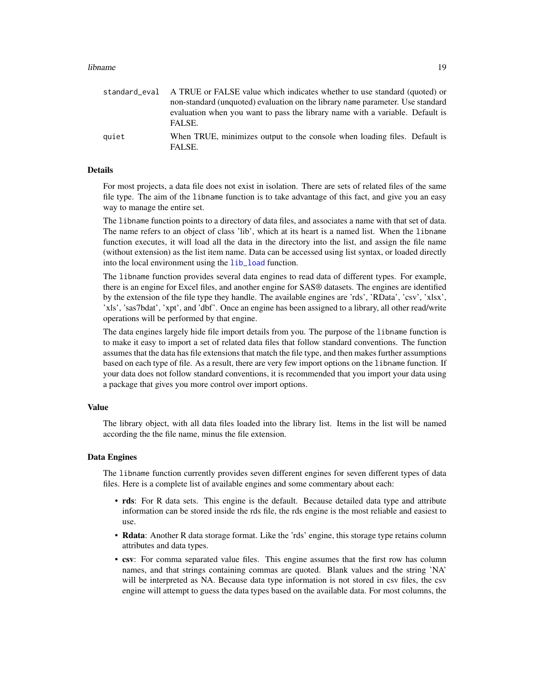#### <span id="page-18-0"></span>libname and the state of the state of the state of the state of the state of the state of the state of the state of the state of the state of the state of the state of the state of the state of the state of the state of th

|       | standard_eval A TRUE or FALSE value which indicates whether to use standard (quoted) or |
|-------|-----------------------------------------------------------------------------------------|
|       | non-standard (unquoted) evaluation on the library name parameter. Use standard          |
|       | evaluation when you want to pass the library name with a variable. Default is<br>FALSE. |
| auiet | When TRUE, minimizes output to the console when loading files. Default is<br>FALSE.     |

#### Details

For most projects, a data file does not exist in isolation. There are sets of related files of the same file type. The aim of the libname function is to take advantage of this fact, and give you an easy way to manage the entire set.

The libname function points to a directory of data files, and associates a name with that set of data. The name refers to an object of class 'lib', which at its heart is a named list. When the libname function executes, it will load all the data in the directory into the list, and assign the file name (without extension) as the list item name. Data can be accessed using list syntax, or loaded directly into the local environment using the [lib\\_load](#page-28-1) function.

The libname function provides several data engines to read data of different types. For example, there is an engine for Excel files, and another engine for SAS® datasets. The engines are identified by the extension of the file type they handle. The available engines are 'rds', 'RData', 'csv', 'xlsx', 'xls', 'sas7bdat', 'xpt', and 'dbf'. Once an engine has been assigned to a library, all other read/write operations will be performed by that engine.

The data engines largely hide file import details from you. The purpose of the libname function is to make it easy to import a set of related data files that follow standard conventions. The function assumes that the data has file extensions that match the file type, and then makes further assumptions based on each type of file. As a result, there are very few import options on the libname function. If your data does not follow standard conventions, it is recommended that you import your data using a package that gives you more control over import options.

#### Value

The library object, with all data files loaded into the library list. Items in the list will be named according the the file name, minus the file extension.

# Data Engines

The libname function currently provides seven different engines for seven different types of data files. Here is a complete list of available engines and some commentary about each:

- rds: For R data sets. This engine is the default. Because detailed data type and attribute information can be stored inside the rds file, the rds engine is the most reliable and easiest to use.
- Rdata: Another R data storage format. Like the 'rds' engine, this storage type retains column attributes and data types.
- csv: For comma separated value files. This engine assumes that the first row has column names, and that strings containing commas are quoted. Blank values and the string 'NA' will be interpreted as NA. Because data type information is not stored in csv files, the csv engine will attempt to guess the data types based on the available data. For most columns, the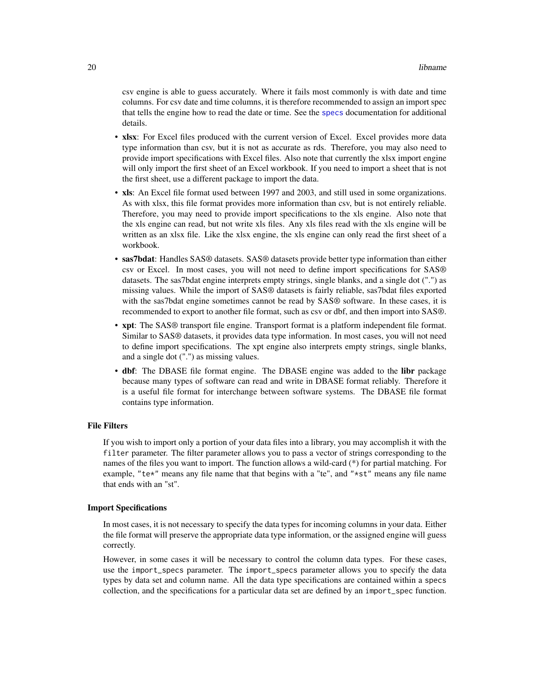<span id="page-19-0"></span>csv engine is able to guess accurately. Where it fails most commonly is with date and time columns. For csv date and time columns, it is therefore recommended to assign an import spec that tells the engine how to read the date or time. See the [specs](#page-40-1) documentation for additional details.

- xlsx: For Excel files produced with the current version of Excel. Excel provides more data type information than csv, but it is not as accurate as rds. Therefore, you may also need to provide import specifications with Excel files. Also note that currently the xlsx import engine will only import the first sheet of an Excel workbook. If you need to import a sheet that is not the first sheet, use a different package to import the data.
- xls: An Excel file format used between 1997 and 2003, and still used in some organizations. As with xlsx, this file format provides more information than csv, but is not entirely reliable. Therefore, you may need to provide import specifications to the xls engine. Also note that the xls engine can read, but not write xls files. Any xls files read with the xls engine will be written as an xlsx file. Like the xlsx engine, the xls engine can only read the first sheet of a workbook.
- sas7bdat: Handles SAS® datasets. SAS® datasets provide better type information than either csv or Excel. In most cases, you will not need to define import specifications for SAS® datasets. The sas7bdat engine interprets empty strings, single blanks, and a single dot (".") as missing values. While the import of SAS® datasets is fairly reliable, sas7bdat files exported with the sas7bdat engine sometimes cannot be read by SAS® software. In these cases, it is recommended to export to another file format, such as csv or dbf, and then import into SAS®.
- xpt: The SAS® transport file engine. Transport format is a platform independent file format. Similar to SAS® datasets, it provides data type information. In most cases, you will not need to define import specifications. The xpt engine also interprets empty strings, single blanks, and a single dot (".") as missing values.
- dbf: The DBASE file format engine. The DBASE engine was added to the libr package because many types of software can read and write in DBASE format reliably. Therefore it is a useful file format for interchange between software systems. The DBASE file format contains type information.

#### File Filters

If you wish to import only a portion of your data files into a library, you may accomplish it with the filter parameter. The filter parameter allows you to pass a vector of strings corresponding to the names of the files you want to import. The function allows a wild-card (\*) for partial matching. For example, "te $*$ " means any file name that that begins with a "te", and " $*st$ " means any file name that ends with an "st".

# Import Specifications

In most cases, it is not necessary to specify the data types for incoming columns in your data. Either the file format will preserve the appropriate data type information, or the assigned engine will guess correctly.

However, in some cases it will be necessary to control the column data types. For these cases, use the import\_specs parameter. The import\_specs parameter allows you to specify the data types by data set and column name. All the data type specifications are contained within a specs collection, and the specifications for a particular data set are defined by an import\_spec function.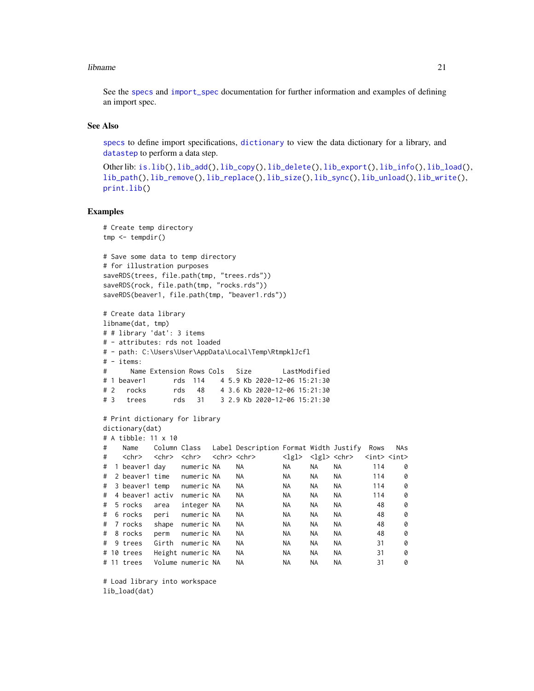#### <span id="page-20-0"></span>libname 21

See the [specs](#page-40-1) and [import\\_spec](#page-14-1) documentation for further information and examples of defining an import spec.

#### See Also

[specs](#page-40-1) to define import specifications, [dictionary](#page-9-1) to view the data dictionary for a library, and [datastep](#page-1-1) to perform a data step.

```
is.lib(lib_add(lib_copy(lib_delete(lib_export(lib_info(lib_load(),
lib_path(), lib_remove(), lib_replace(), lib_size(), lib_sync(), lib_unload(), lib_write(),
print.lib()
```
#### Examples

```
# Create temp directory
tmp <- tempdir()
# Save some data to temp directory
# for illustration purposes
saveRDS(trees, file.path(tmp, "trees.rds"))
saveRDS(rock, file.path(tmp, "rocks.rds"))
saveRDS(beaver1, file.path(tmp, "beaver1.rds"))
# Create data library
libname(dat, tmp)
# # library 'dat': 3 items
# - attributes: rds not loaded
# - path: C:\Users\User\AppData\Local\Temp\RtmpklJcfl
# - items:
# Name Extension Rows Cols Size LastModified
# 1 beaver1 rds 114 4 5.9 Kb 2020-12-06 15:21:30
            rds 48 4 3.6 Kb 2020-12-06 15:21:30
# 3 trees rds 31 3 2.9 Kb 2020-12-06 15:21:30
# Print dictionary for library
dictionary(dat)
# A tibble: 11 x 10
# Name Column Class Label Description Format Width Justify Rows NAs
# <chr> <chr> <chr> <chr> <chr> <lgl> <lgl> <chr> <int> <int>
# 1 beaver1 day numeric NA NA NA NA NA 114 0
# 2 beaver1 time numeric NA NA NA NA NA 114 0
# 3 beaver1 temp numeric NA NA NA NA NA 114 0
# 4 beaver1 activ numeric NA NA NA NA NA 114 0
# 5 rocks area integer NA NA NA NA NA 48 0
# 6 rocks peri numeric NA NA NA NA NA 48 0
# 7 rocks shape numeric NA NA NA NA NA 48 0
# 8 rocks perm numeric NA NA NA NA NA 48 0
# 9 trees Girth numeric NA NA NA NA NA 31 0
# 10 trees Height numeric NA NA NA NA NA 31 0
# 11 trees Volume numeric NA NA NA NA NA 31 0
# Load library into workspace
```
lib\_load(dat)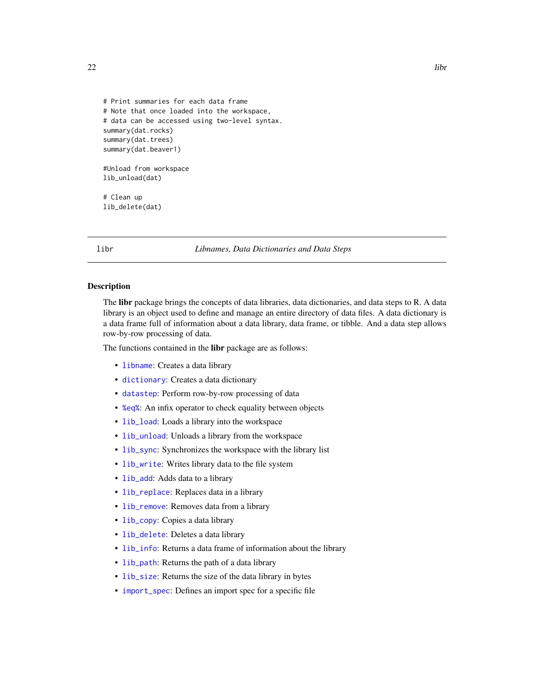```
# Print summaries for each data frame
# Note that once loaded into the workspace,
# data can be accessed using two-level syntax.
summary(dat.rocks)
summary(dat.trees)
summary(dat.beaver1)
```
#Unload from workspace lib\_unload(dat)

# Clean up lib\_delete(dat)

libr *Libnames, Data Dictionaries and Data Steps*

# **Description**

The libr package brings the concepts of data libraries, data dictionaries, and data steps to R. A data library is an object used to define and manage an entire directory of data files. A data dictionary is a data frame full of information about a data library, data frame, or tibble. And a data step allows row-by-row processing of data.

The functions contained in the **libr** package are as follows:

- [libname](#page-16-1): Creates a data library
- [dictionary](#page-9-1): Creates a data dictionary
- [datastep](#page-1-1): Perform row-by-row processing of data
- % eq%: An infix operator to check equality between objects
- [lib\\_load](#page-28-1): Loads a library into the workspace
- [lib\\_unload](#page-35-1): Unloads a library from the workspace
- [lib\\_sync](#page-33-1): Synchronizes the workspace with the library list
- [lib\\_write](#page-36-1): Writes library data to the file system
- [lib\\_add](#page-22-1): Adds data to a library
- [lib\\_replace](#page-31-1): Replaces data in a library
- [lib\\_remove](#page-30-1): Removes data from a library
- [lib\\_copy](#page-23-1): Copies a data library
- [lib\\_delete](#page-24-1): Deletes a data library
- [lib\\_info](#page-27-1): Returns a data frame of information about the library
- [lib\\_path](#page-29-1): Returns the path of a data library
- [lib\\_size](#page-32-1): Returns the size of the data library in bytes
- [import\\_spec](#page-14-1): Defines an import spec for a specific file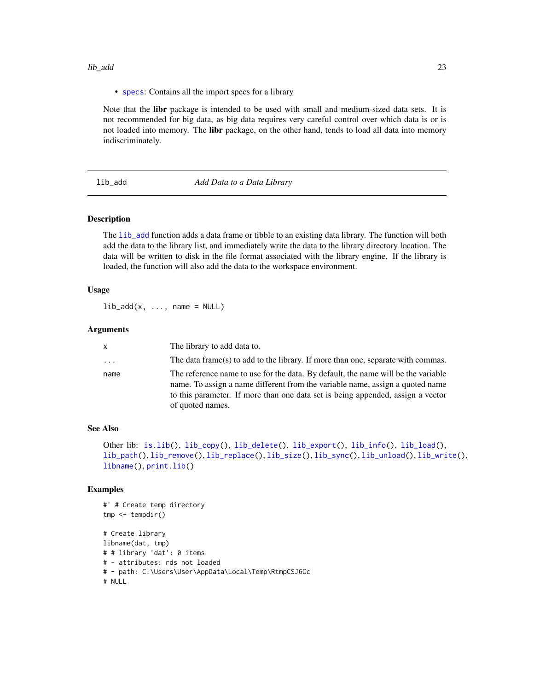<span id="page-22-0"></span>lib\_add 23

• [specs](#page-40-1): Contains all the import specs for a library

Note that the libr package is intended to be used with small and medium-sized data sets. It is not recommended for big data, as big data requires very careful control over which data is or is not loaded into memory. The libr package, on the other hand, tends to load all data into memory indiscriminately.

<span id="page-22-1"></span>lib\_add *Add Data to a Data Library*

# Description

The [lib\\_add](#page-22-1) function adds a data frame or tibble to an existing data library. The function will both add the data to the library list, and immediately write the data to the library directory location. The data will be written to disk in the file format associated with the library engine. If the library is loaded, the function will also add the data to the workspace environment.

#### Usage

 $lib\_add(x, ..., name = NULL)$ 

# Arguments

| $\times$ | The library to add data to.                                                                                                                                                                                                                                               |
|----------|---------------------------------------------------------------------------------------------------------------------------------------------------------------------------------------------------------------------------------------------------------------------------|
| $\cdot$  | The data frame(s) to add to the library. If more than one, separate with commas.                                                                                                                                                                                          |
| name     | The reference name to use for the data. By default, the name will be the variable<br>name. To assign a name different from the variable name, assign a quoted name<br>to this parameter. If more than one data set is being appended, assign a vector<br>of quoted names. |

#### See Also

Other lib: [is.lib\(](#page-15-1)), [lib\\_copy\(](#page-23-1)), [lib\\_delete\(](#page-24-1)), [lib\\_export\(](#page-25-1)), [lib\\_info\(](#page-27-1)), [lib\\_load\(](#page-28-1)), [lib\\_path\(](#page-29-1)), [lib\\_remove\(](#page-30-1)), [lib\\_replace\(](#page-31-1)), [lib\\_size\(](#page-32-1)), [lib\\_sync\(](#page-33-1)), [lib\\_unload\(](#page-35-1)), [lib\\_write\(](#page-36-1)), [libname\(](#page-16-1)), [print.lib\(](#page-38-1))

```
#' # Create temp directory
tmp <- tempdir()
# Create library
libname(dat, tmp)
# # library 'dat': 0 items
# - attributes: rds not loaded
# - path: C:\Users\User\AppData\Local\Temp\RtmpCSJ6Gc
# NULL
```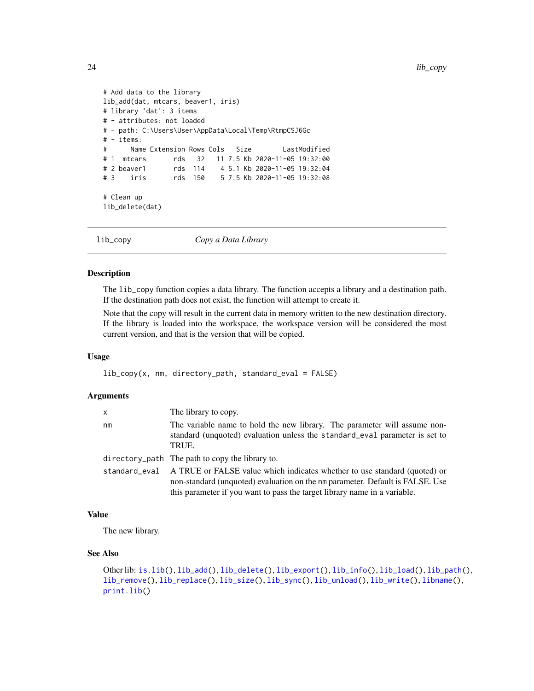```
# Add data to the library
lib_add(dat, mtcars, beaver1, iris)
# library 'dat': 3 items
# - attributes: not loaded
# - path: C:\Users\User\AppData\Local\Temp\RtmpCSJ6Gc
# - items:
# Name Extension Rows Cols Size LastModified
# 1 mtcars rds 32 11 7.5 Kb 2020-11-05 19:32:00
# 2 beaver1 rds 114 4 5.1 Kb 2020-11-05 19:32:04
# 3 iris rds 150 5 7.5 Kb 2020-11-05 19:32:08
# Clean up
lib_delete(dat)
```
<span id="page-23-1"></span>lib\_copy *Copy a Data Library*

# **Description**

The lib\_copy function copies a data library. The function accepts a library and a destination path. If the destination path does not exist, the function will attempt to create it.

Note that the copy will result in the current data in memory written to the new destination directory. If the library is loaded into the workspace, the workspace version will be considered the most current version, and that is the version that will be copied.

#### Usage

lib\_copy(x, nm, directory\_path, standard\_eval = FALSE)

#### Arguments

| x  | The library to copy.                                                                                                                                                                                                                                  |
|----|-------------------------------------------------------------------------------------------------------------------------------------------------------------------------------------------------------------------------------------------------------|
| nm | The variable name to hold the new library. The parameter will assume non-<br>standard (unquoted) evaluation unless the standard eval parameter is set to<br>TRUE.                                                                                     |
|    | directory_path The path to copy the library to.                                                                                                                                                                                                       |
|    | standard_eval A TRUE or FALSE value which indicates whether to use standard (quoted) or<br>non-standard (unquoted) evaluation on the nm parameter. Default is FALSE. Use<br>this parameter if you want to pass the target library name in a variable. |

# Value

The new library.

# See Also

```
Other lib: is.lib(), lib_add(), lib_delete(), lib_export(), lib_info(), lib_load(), lib_path(),
lib_remove(), lib_replace(), lib_size(), lib_sync(), lib_unload(), lib_write(), libname(),
print.lib()
```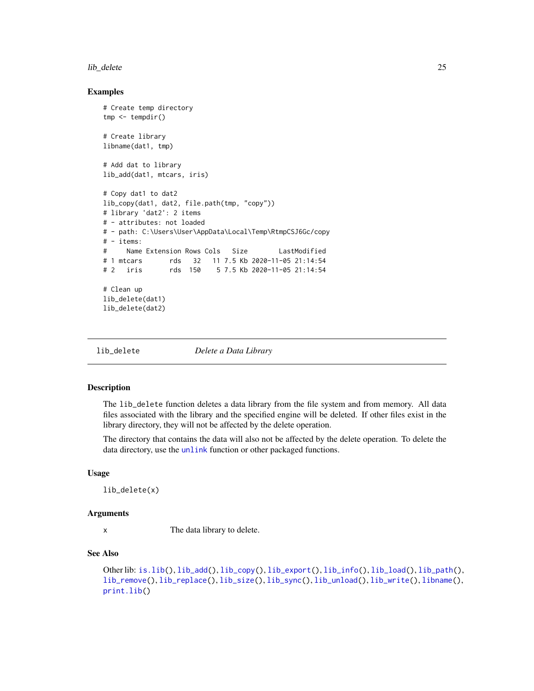#### <span id="page-24-0"></span>lib\_delete 25

# Examples

```
# Create temp directory
tmp <- tempdir()
# Create library
libname(dat1, tmp)
# Add dat to library
lib_add(dat1, mtcars, iris)
# Copy dat1 to dat2
lib_copy(dat1, dat2, file.path(tmp, "copy"))
# library 'dat2': 2 items
# - attributes: not loaded
# - path: C:\Users\User\AppData\Local\Temp\RtmpCSJ6Gc/copy
# - items:
# Name Extension Rows Cols Size LastModified
# 1 mtcars rds 32 11 7.5 Kb 2020-11-05 21:14:54
# 2 iris rds 150 5 7.5 Kb 2020-11-05 21:14:54
# Clean up
lib_delete(dat1)
lib_delete(dat2)
```
<span id="page-24-1"></span>lib\_delete *Delete a Data Library*

# Description

The lib\_delete function deletes a data library from the file system and from memory. All data files associated with the library and the specified engine will be deleted. If other files exist in the library directory, they will not be affected by the delete operation.

The directory that contains the data will also not be affected by the delete operation. To delete the data directory, use the [unlink](#page-0-0) function or other packaged functions.

# Usage

lib\_delete(x)

# Arguments

x The data library to delete.

# See Also

```
Other lib: is.lib(), lib_add(), lib_copy(), lib_export(), lib_info(), lib_load(), lib_path(),
lib_remove(), lib_replace(), lib_size(), lib_sync(), lib_unload(), lib_write(), libname(),
print.lib()
```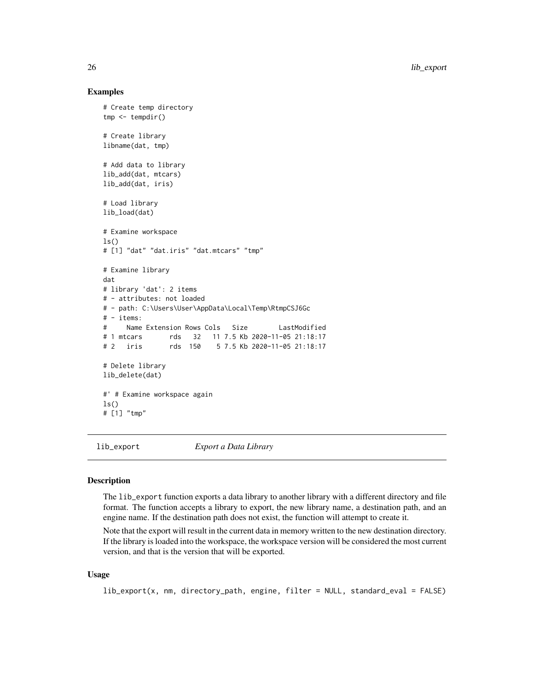# Examples

```
# Create temp directory
tmp <- tempdir()
# Create library
libname(dat, tmp)
# Add data to library
lib_add(dat, mtcars)
lib_add(dat, iris)
# Load library
lib_load(dat)
# Examine workspace
ls()# [1] "dat" "dat.iris" "dat.mtcars" "tmp"
# Examine library
dat
# library 'dat': 2 items
# - attributes: not loaded
# - path: C:\Users\User\AppData\Local\Temp\RtmpCSJ6Gc
# - items:
# Name Extension Rows Cols Size LastModified
# 1 mtcars rds 32 11 7.5 Kb 2020-11-05 21:18:17
# 2 iris rds 150 5 7.5 Kb 2020-11-05 21:18:17
# Delete library
lib_delete(dat)
#' # Examine workspace again
ls()# [1] "tmp"
```
lib\_export *Export a Data Library*

# Description

The lib\_export function exports a data library to another library with a different directory and file format. The function accepts a library to export, the new library name, a destination path, and an engine name. If the destination path does not exist, the function will attempt to create it.

Note that the export will result in the current data in memory written to the new destination directory. If the library is loaded into the workspace, the workspace version will be considered the most current version, and that is the version that will be exported.

# Usage

```
lib_export(x, nm, directory_path, engine, filter = NULL, standard_eval = FALSE)
```
<span id="page-25-0"></span>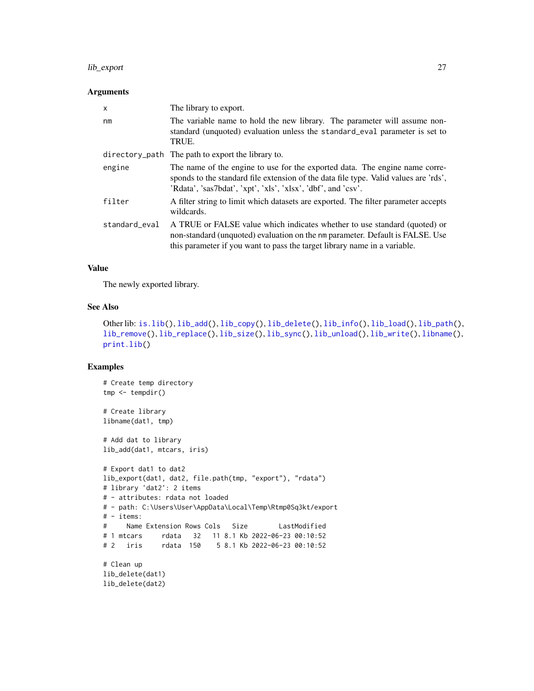# <span id="page-26-0"></span>lib\_export 27

# Arguments

| $\mathsf{x}$  | The library to export.                                                                                                                                                                                                                  |
|---------------|-----------------------------------------------------------------------------------------------------------------------------------------------------------------------------------------------------------------------------------------|
| nm            | The variable name to hold the new library. The parameter will assume non-<br>standard (unquoted) evaluation unless the standard eval parameter is set to<br>TRUE.                                                                       |
|               | directory_path The path to export the library to.                                                                                                                                                                                       |
| engine        | The name of the engine to use for the exported data. The engine name corre-<br>sponds to the standard file extension of the data file type. Valid values are 'rds',<br>'Rdata', 'sas7bdat', 'xpt', 'xls', 'xlsx', 'dbf', and 'csv'.     |
| filter        | A filter string to limit which datasets are exported. The filter parameter accepts<br>wildcards.                                                                                                                                        |
| standard_eval | A TRUE or FALSE value which indicates whether to use standard (quoted) or<br>non-standard (unquoted) evaluation on the nm parameter. Default is FALSE. Use<br>this parameter if you want to pass the target library name in a variable. |

# Value

The newly exported library.

# See Also

Other lib: [is.lib\(](#page-15-1)), [lib\\_add\(](#page-22-1)), [lib\\_copy\(](#page-23-1)), [lib\\_delete\(](#page-24-1)), [lib\\_info\(](#page-27-1)), [lib\\_load\(](#page-28-1)), [lib\\_path\(](#page-29-1)), [lib\\_remove\(](#page-30-1)), [lib\\_replace\(](#page-31-1)), [lib\\_size\(](#page-32-1)), [lib\\_sync\(](#page-33-1)), [lib\\_unload\(](#page-35-1)), [lib\\_write\(](#page-36-1)), [libname\(](#page-16-1)), [print.lib\(](#page-38-1))

```
# Create temp directory
tmp <- tempdir()
# Create library
libname(dat1, tmp)
# Add dat to library
lib_add(dat1, mtcars, iris)
# Export dat1 to dat2
lib_export(dat1, dat2, file.path(tmp, "export"), "rdata")
# library 'dat2': 2 items
# - attributes: rdata not loaded
# - path: C:\Users\User\AppData\Local\Temp\Rtmp0Sq3kt/export
# - items:
# Name Extension Rows Cols Size LastModified
# 1 mtcars rdata 32 11 8.1 Kb 2022-06-23 00:10:52
# 2 iris rdata 150 5 8.1 Kb 2022-06-23 00:10:52
# Clean up
lib_delete(dat1)
lib_delete(dat2)
```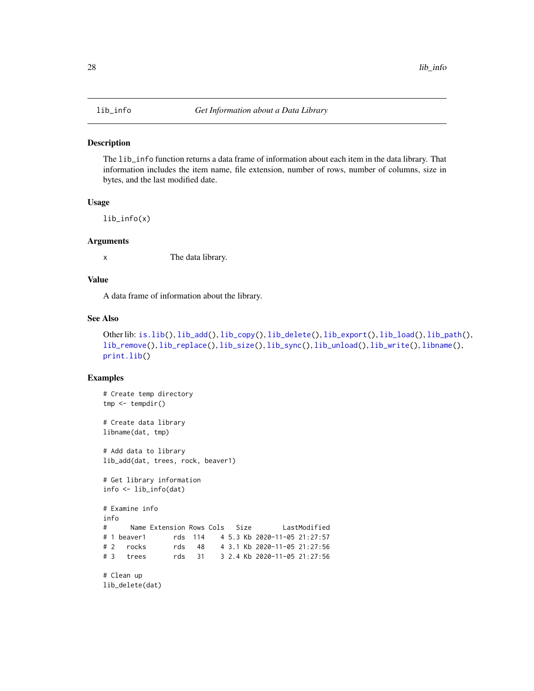# <span id="page-27-1"></span><span id="page-27-0"></span>Description

The lib\_info function returns a data frame of information about each item in the data library. That information includes the item name, file extension, number of rows, number of columns, size in bytes, and the last modified date.

#### Usage

lib\_info(x)

#### Arguments

x The data library.

# Value

A data frame of information about the library.

# See Also

```
Other lib: is.lib(), lib_add(), lib_copy(), lib_delete(), lib_export(), lib_load(), lib_path(),
lib_remove(), lib_replace(), lib_size(), lib_sync(), lib_unload(), lib_write(), libname(),
print.lib()
```

```
# Create temp directory
tmp < - tempdir()
# Create data library
libname(dat, tmp)
# Add data to library
lib_add(dat, trees, rock, beaver1)
# Get library information
info <- lib_info(dat)
# Examine info
info
# Name Extension Rows Cols Size LastModified
# 1 beaver1 rds 114 4 5.3 Kb 2020-11-05 21:27:57
# 2 rocks rds 48 4 3.1 Kb 2020-11-05 21:27:56
# 3 trees rds 31 3 2.4 Kb 2020-11-05 21:27:56
# Clean up
```

```
lib_delete(dat)
```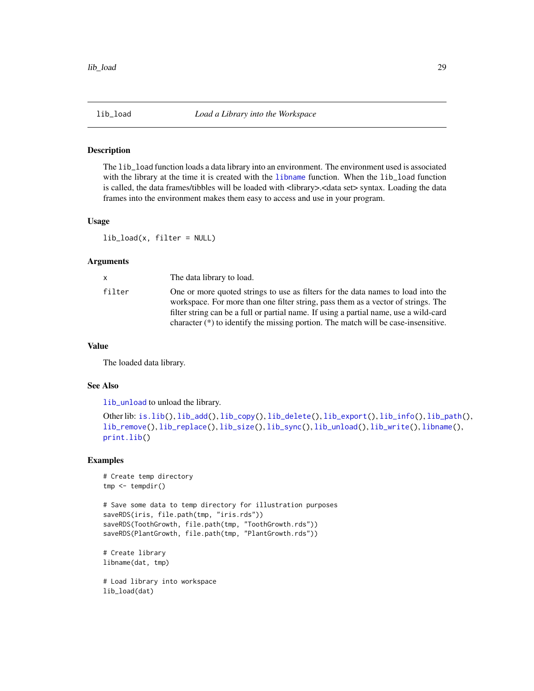<span id="page-28-1"></span><span id="page-28-0"></span>

## Description

The lib\_load function loads a data library into an environment. The environment used is associated with the library at the time it is created with the [libname](#page-16-1) function. When the lib\_load function is called, the data frames/tibbles will be loaded with <library>.<data set> syntax. Loading the data frames into the environment makes them easy to access and use in your program.

#### Usage

lib\_load(x, filter = NULL)

#### Arguments

| X.     | The data library to load.                                                                                                                                                                                                                                      |
|--------|----------------------------------------------------------------------------------------------------------------------------------------------------------------------------------------------------------------------------------------------------------------|
| filter | One or more quoted strings to use as filters for the data names to load into the<br>workspace. For more than one filter string, pass them as a vector of strings. The<br>filter string can be a full or partial name. If using a partial name, use a wild-card |
|        | character (*) to identify the missing portion. The match will be case-insensitive.                                                                                                                                                                             |

# Value

The loaded data library.

# See Also

[lib\\_unload](#page-35-1) to unload the library.

```
Other lib: is.lib(), lib_add(), lib_copy(), lib_delete(), lib_export(), lib_info(), lib_path(),
lib_remove(), lib_replace(), lib_size(), lib_sync(), lib_unload(), lib_write(), libname(),
print.lib()
```

```
# Create temp directory
tmp <- tempdir()
# Save some data to temp directory for illustration purposes
saveRDS(iris, file.path(tmp, "iris.rds"))
saveRDS(ToothGrowth, file.path(tmp, "ToothGrowth.rds"))
saveRDS(PlantGrowth, file.path(tmp, "PlantGrowth.rds"))
# Create library
libname(dat, tmp)
# Load library into workspace
lib_load(dat)
```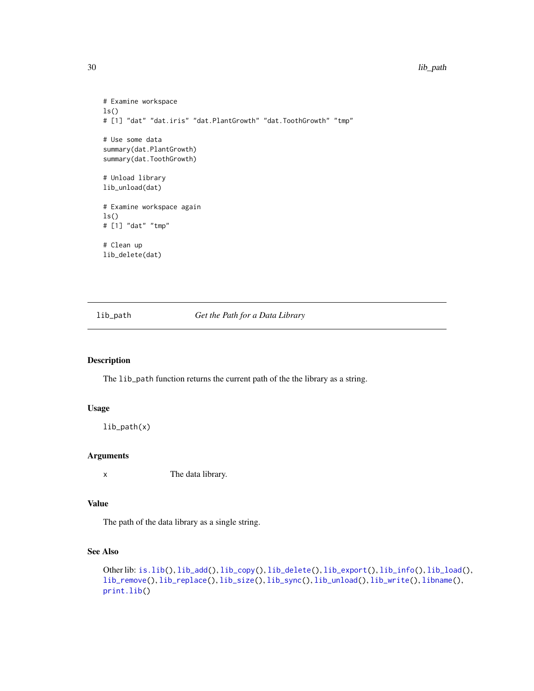```
# Examine workspace
ls()
# [1] "dat" "dat.iris" "dat.PlantGrowth" "dat.ToothGrowth" "tmp"
# Use some data
summary(dat.PlantGrowth)
summary(dat.ToothGrowth)
# Unload library
lib_unload(dat)
# Examine workspace again
ls()# [1] "dat" "tmp"
# Clean up
lib_delete(dat)
```
<span id="page-29-1"></span>lib\_path *Get the Path for a Data Library*

# Description

The lib\_path function returns the current path of the the library as a string.

# Usage

```
lib_path(x)
```
# Arguments

x The data library.

# Value

The path of the data library as a single string.

# See Also

```
Other lib: is.lib(), lib_add(), lib_copy(), lib_delete(), lib_export(), lib_info(), lib_load(),
lib_remove(), lib_replace(), lib_size(), lib_sync(), lib_unload(), lib_write(), libname(),
print.lib()
```
<span id="page-29-0"></span>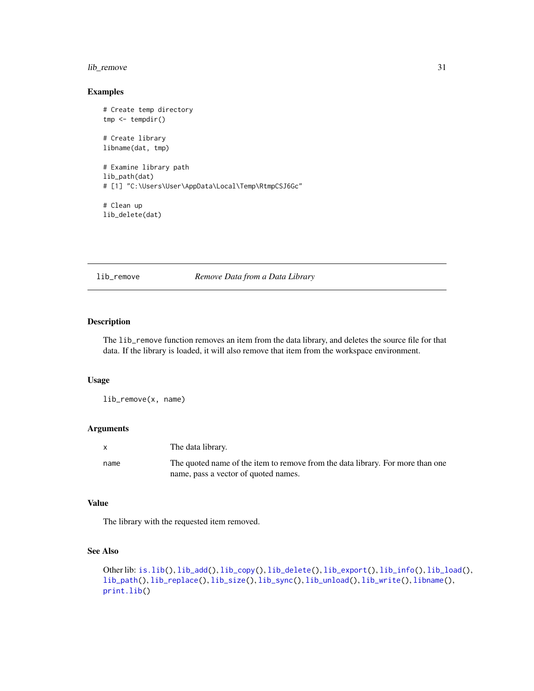# <span id="page-30-0"></span>lib\_remove 31

# Examples

```
# Create temp directory
tmp <- tempdir()
# Create library
libname(dat, tmp)
# Examine library path
lib_path(dat)
# [1] "C:\Users\User\AppData\Local\Temp\RtmpCSJ6Gc"
# Clean up
lib_delete(dat)
```
<span id="page-30-1"></span>lib\_remove *Remove Data from a Data Library*

# Description

The lib\_remove function removes an item from the data library, and deletes the source file for that data. If the library is loaded, it will also remove that item from the workspace environment.

# Usage

lib\_remove(x, name)

# Arguments

|      | The data library.                                                              |
|------|--------------------------------------------------------------------------------|
| name | The quoted name of the item to remove from the data library. For more than one |
|      | name, pass a vector of quoted names.                                           |

#### Value

The library with the requested item removed.

# See Also

```
Other lib: is.lib(), lib_add(), lib_copy(), lib_delete(), lib_export(), lib_info(), lib_load(),
lib_path(), lib_replace(), lib_size(), lib_sync(), lib_unload(), lib_write(), libname(),
print.lib()
```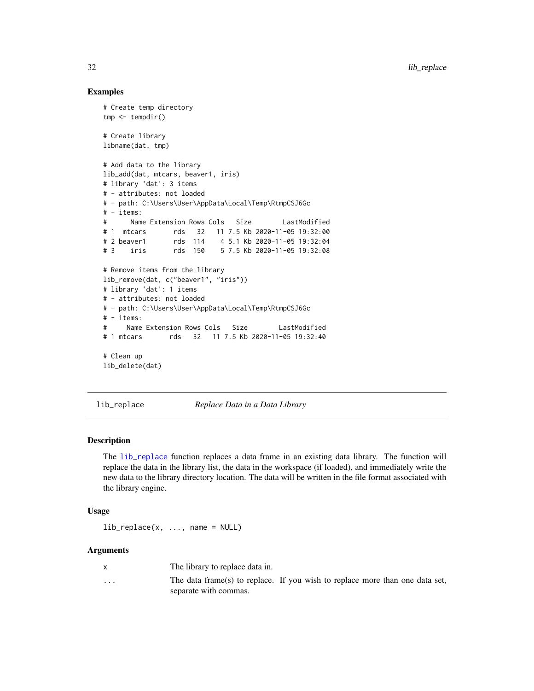# Examples

```
# Create temp directory
tmp <- tempdir()
# Create library
libname(dat, tmp)
# Add data to the library
lib_add(dat, mtcars, beaver1, iris)
# library 'dat': 3 items
# - attributes: not loaded
# - path: C:\Users\User\AppData\Local\Temp\RtmpCSJ6Gc
# - items:
# Name Extension Rows Cols Size LastModified
# 1 mtcars rds 32 11 7.5 Kb 2020-11-05 19:32:00
# 2 beaver1 rds 114 4 5.1 Kb 2020-11-05 19:32:04
# 3 iris rds 150 5 7.5 Kb 2020-11-05 19:32:08
# Remove items from the library
lib_remove(dat, c("beaver1", "iris"))
# library 'dat': 1 items
# - attributes: not loaded
# - path: C:\Users\User\AppData\Local\Temp\RtmpCSJ6Gc
# - items:
# Name Extension Rows Cols Size LastModified
# 1 mtcars rds 32 11 7.5 Kb 2020-11-05 19:32:40
# Clean up
lib_delete(dat)
```
<span id="page-31-1"></span>lib\_replace *Replace Data in a Data Library*

#### Description

The [lib\\_replace](#page-31-1) function replaces a data frame in an existing data library. The function will replace the data in the library list, the data in the workspace (if loaded), and immediately write the new data to the library directory location. The data will be written in the file format associated with the library engine.

#### Usage

 $lib_replace(x, ..., name = NULL)$ 

#### Arguments

|                         | The library to replace data in.                                                                       |
|-------------------------|-------------------------------------------------------------------------------------------------------|
| $\cdot$ $\cdot$ $\cdot$ | The data frame(s) to replace. If you wish to replace more than one data set,<br>separate with commas. |

<span id="page-31-0"></span>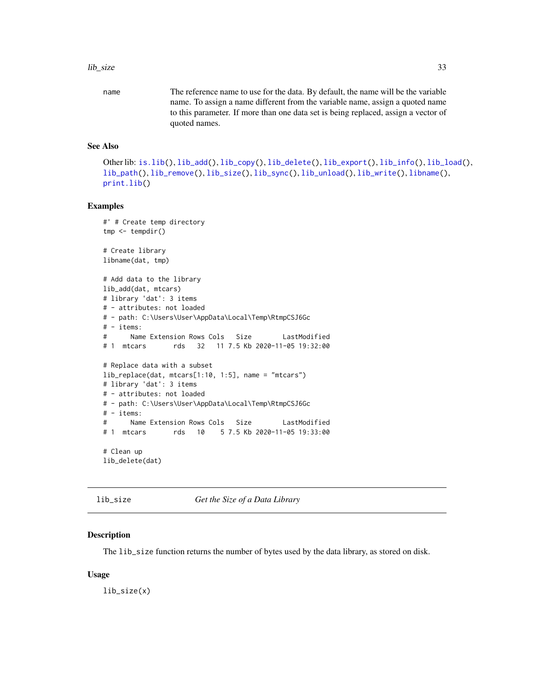#### <span id="page-32-0"></span>lib\_size 33

name The reference name to use for the data. By default, the name will be the variable name. To assign a name different from the variable name, assign a quoted name to this parameter. If more than one data set is being replaced, assign a vector of quoted names.

# See Also

```
Other lib: is.lib(), lib_add(), lib_copy(), lib_delete(), lib_export(), lib_info(), lib_load(),
lib_path(), lib_remove(), lib_size(), lib_sync(), lib_unload(), lib_write(), libname(),
print.lib()
```
# Examples

```
#' # Create temp directory
tmp <- tempdir()
# Create library
libname(dat, tmp)
# Add data to the library
lib_add(dat, mtcars)
# library 'dat': 3 items
# - attributes: not loaded
# - path: C:\Users\User\AppData\Local\Temp\RtmpCSJ6Gc
# - items:
# Name Extension Rows Cols Size LastModified
# 1 mtcars rds 32 11 7.5 Kb 2020-11-05 19:32:00
# Replace data with a subset
lib_replace(dat, mtcars[1:10, 1:5], name = "mtcars")
# library 'dat': 3 items
# - attributes: not loaded
# - path: C:\Users\User\AppData\Local\Temp\RtmpCSJ6Gc
# - items:
# Name Extension Rows Cols Size LastModified
# 1 mtcars rds 10 5 7.5 Kb 2020-11-05 19:33:00
# Clean up
lib_delete(dat)
```
<span id="page-32-1"></span>

lib\_size *Get the Size of a Data Library*

# Description

The lib\_size function returns the number of bytes used by the data library, as stored on disk.

#### Usage

lib\_size(x)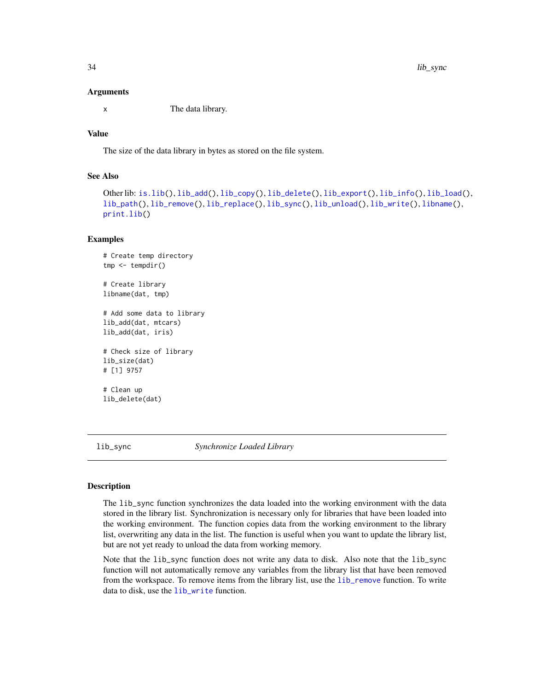#### Arguments

x The data library.

# Value

The size of the data library in bytes as stored on the file system.

# See Also

```
Other lib: is.lib(), lib_add(), lib_copy(), lib_delete(), lib_export(), lib_info(), lib_load(),
lib_path(), lib_remove(), lib_replace(), lib_sync(), lib_unload(), lib_write(), libname(),
print.lib()
```
#### Examples

```
# Create temp directory
tmp <- tempdir()
# Create library
libname(dat, tmp)
# Add some data to library
lib_add(dat, mtcars)
lib_add(dat, iris)
# Check size of library
lib_size(dat)
# [1] 9757
# Clean up
lib_delete(dat)
```
<span id="page-33-1"></span>lib\_sync *Synchronize Loaded Library*

# **Description**

The lib\_sync function synchronizes the data loaded into the working environment with the data stored in the library list. Synchronization is necessary only for libraries that have been loaded into the working environment. The function copies data from the working environment to the library list, overwriting any data in the list. The function is useful when you want to update the library list, but are not yet ready to unload the data from working memory.

Note that the lib\_sync function does not write any data to disk. Also note that the lib\_sync function will not automatically remove any variables from the library list that have been removed from the workspace. To remove items from the library list, use the [lib\\_remove](#page-30-1) function. To write data to disk, use the [lib\\_write](#page-36-1) function.

<span id="page-33-0"></span>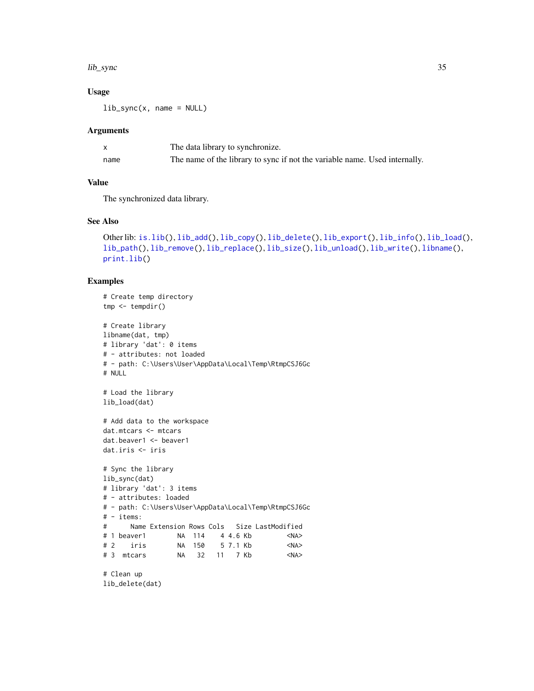# <span id="page-34-0"></span>lib\_sync 35

# Usage

 $lib_sync(x, name = NULL)$ 

# Arguments

|      | The data library to synchronize.                                           |
|------|----------------------------------------------------------------------------|
| name | The name of the library to sync if not the variable name. Used internally. |

# Value

The synchronized data library.

# See Also

```
Other lib: is.lib(), lib_add(), lib_copy(), lib_delete(), lib_export(), lib_info(), lib_load(),
lib_path(), lib_remove(), lib_replace(), lib_size(), lib_unload(), lib_write(), libname(),
print.lib()
```
# Examples

```
# Create temp directory
tmp <- tempdir()
# Create library
libname(dat, tmp)
# library 'dat': 0 items
# - attributes: not loaded
# - path: C:\Users\User\AppData\Local\Temp\RtmpCSJ6Gc
# NULL
# Load the library
lib_load(dat)
# Add data to the workspace
dat.mtcars <- mtcars
dat.beaver1 <- beaver1
dat.iris <- iris
# Sync the library
lib_sync(dat)
# library 'dat': 3 items
# - attributes: loaded
# - path: C:\Users\User\AppData\Local\Temp\RtmpCSJ6Gc
# - items:
# Name Extension Rows Cols Size LastModified
# 1 beaver1 NA 114 4 4.6 Kb <NA>
# 2 iris NA 150 5 7.1 Kb <NA>
# 3 mtcars NA 32 11 7 Kb <NA>
# Clean up
```
lib\_delete(dat)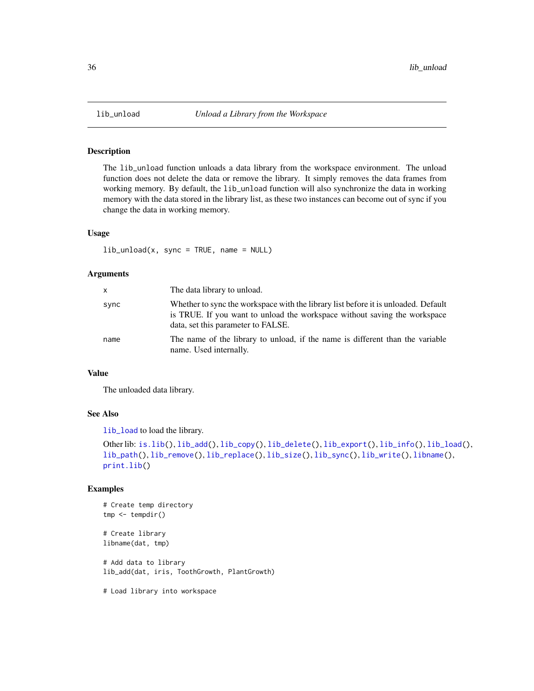# Description

The lib\_unload function unloads a data library from the workspace environment. The unload function does not delete the data or remove the library. It simply removes the data frames from working memory. By default, the lib\_unload function will also synchronize the data in working memory with the data stored in the library list, as these two instances can become out of sync if you change the data in working memory.

# Usage

 $lib\_unload(x, sync = TRUE, name = NULL)$ 

# Arguments

| <b>X</b> | The data library to unload.                                                                                                                                                                           |
|----------|-------------------------------------------------------------------------------------------------------------------------------------------------------------------------------------------------------|
| sync     | Whether to sync the workspace with the library list before it is unloaded. Default<br>is TRUE. If you want to unload the workspace without saving the workspace<br>data, set this parameter to FALSE. |
| name     | The name of the library to unload, if the name is different than the variable<br>name. Used internally.                                                                                               |

# Value

The unloaded data library.

# See Also

[lib\\_load](#page-28-1) to load the library.

```
Other lib: is.lib(), lib_add(), lib_copy(), lib_delete(), lib_export(), lib_info(), lib_load(),
lib_path(), lib_remove(), lib_replace(), lib_size(), lib_sync(), lib_write(), libname(),
print.lib()
```
# Examples

```
# Create temp directory
tmp <- tempdir()
# Create library
libname(dat, tmp)
# Add data to library
lib_add(dat, iris, ToothGrowth, PlantGrowth)
```
# Load library into workspace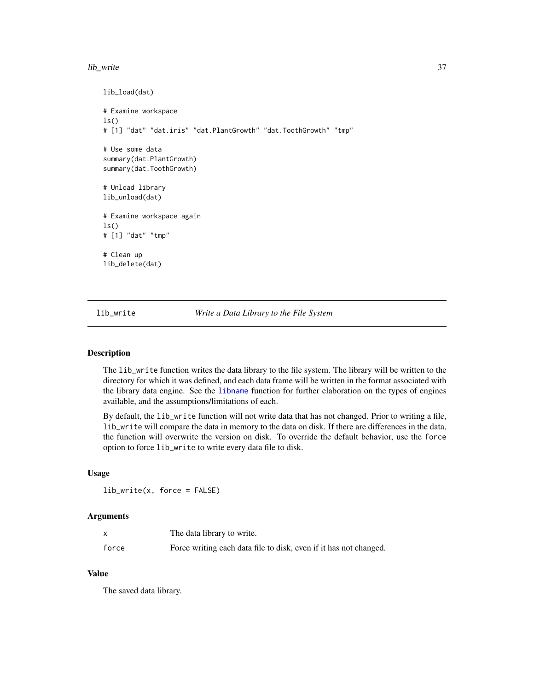#### <span id="page-36-0"></span>lib\_write 37

```
lib_load(dat)
# Examine workspace
ls()# [1] "dat" "dat.iris" "dat.PlantGrowth" "dat.ToothGrowth" "tmp"
# Use some data
summary(dat.PlantGrowth)
summary(dat.ToothGrowth)
# Unload library
lib_unload(dat)
# Examine workspace again
ls()# [1] "dat" "tmp"
# Clean up
lib_delete(dat)
```
<span id="page-36-1"></span>lib\_write *Write a Data Library to the File System*

# Description

The lib\_write function writes the data library to the file system. The library will be written to the directory for which it was defined, and each data frame will be written in the format associated with the library data engine. See the [libname](#page-16-1) function for further elaboration on the types of engines available, and the assumptions/limitations of each.

By default, the lib\_write function will not write data that has not changed. Prior to writing a file, lib\_write will compare the data in memory to the data on disk. If there are differences in the data, the function will overwrite the version on disk. To override the default behavior, use the force option to force lib\_write to write every data file to disk.

#### Usage

 $lib\_write(x, force = FALSE)$ 

#### Arguments

|       | The data library to write.                                        |
|-------|-------------------------------------------------------------------|
| force | Force writing each data file to disk, even if it has not changed. |

# Value

The saved data library.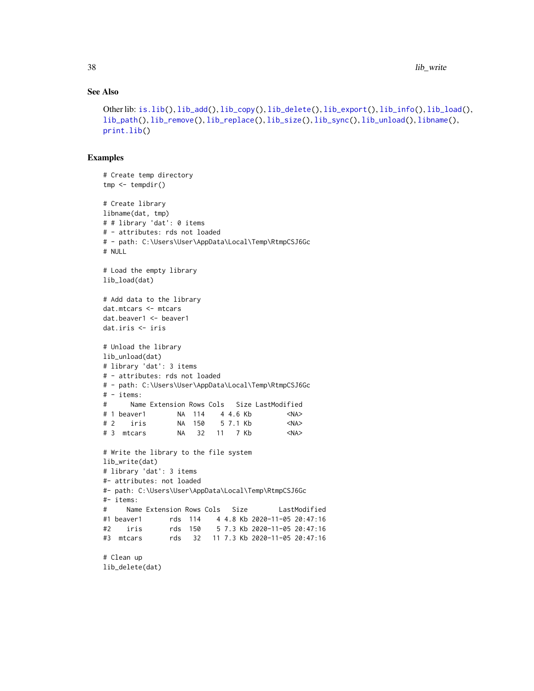# See Also

```
Other lib: is.lib(), lib_add(), lib_copy(), lib_delete(), lib_export(), lib_info(), lib_load(),
lib_path(), lib_remove(), lib_replace(), lib_size(), lib_sync(), lib_unload(), libname(),
print.lib()
```

```
# Create temp directory
tmp <- tempdir()
# Create library
libname(dat, tmp)
# # library 'dat': 0 items
# - attributes: rds not loaded
# - path: C:\Users\User\AppData\Local\Temp\RtmpCSJ6Gc
# NULL
# Load the empty library
lib_load(dat)
# Add data to the library
dat.mtcars <- mtcars
dat.beaver1 <- beaver1
dat.iris <- iris
# Unload the library
lib_unload(dat)
# library 'dat': 3 items
# - attributes: rds not loaded
# - path: C:\Users\User\AppData\Local\Temp\RtmpCSJ6Gc
# - items:
# Name Extension Rows Cols Size LastModified
# 1 beaver1 NA 114 4 4.6 Kb <NA>
# 2 iris NA 150 5 7.1 Kb <NA>
# 3 mtcars NA 32 11 7 Kb <NA>
# Write the library to the file system
lib_write(dat)
# library 'dat': 3 items
#- attributes: not loaded
#- path: C:\Users\User\AppData\Local\Temp\RtmpCSJ6Gc
#- items:
# Name Extension Rows Cols Size LastModified
#1 beaver1 rds 114 4 4.8 Kb 2020-11-05 20:47:16
#2 iris rds 150 5 7.3 Kb 2020-11-05 20:47:16
#3 mtcars rds 32 11 7.3 Kb 2020-11-05 20:47:16
# Clean up
lib_delete(dat)
```
<span id="page-37-0"></span>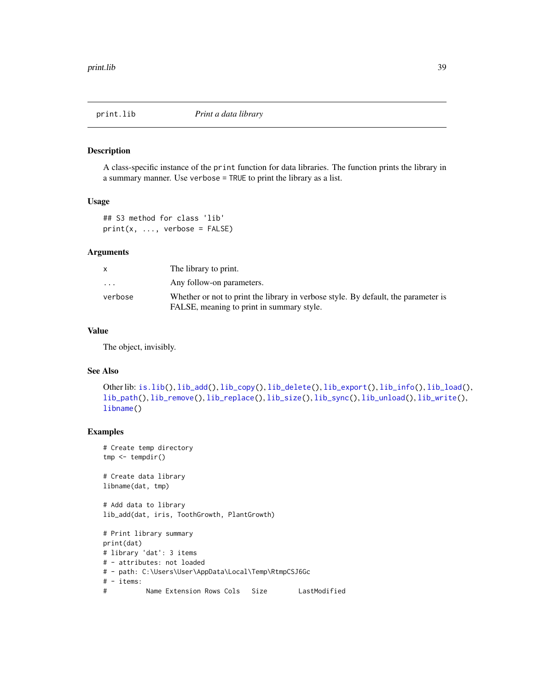<span id="page-38-1"></span><span id="page-38-0"></span>

#### Description

A class-specific instance of the print function for data libraries. The function prints the library in a summary manner. Use verbose = TRUE to print the library as a list.

# Usage

```
## S3 method for class 'lib'
print(x, ..., verbose = FALSE)
```
### Arguments

|                         | The library to print.                                                                                                           |
|-------------------------|---------------------------------------------------------------------------------------------------------------------------------|
| $\cdot$ $\cdot$ $\cdot$ | Any follow-on parameters.                                                                                                       |
| verbose                 | Whether or not to print the library in verbose style. By default, the parameter is<br>FALSE, meaning to print in summary style. |

# Value

The object, invisibly.

#### See Also

```
Other lib: is.lib(), lib_add(), lib_copy(), lib_delete(), lib_export(), lib_info(), lib_load(),
lib_path(), lib_remove(), lib_replace(), lib_size(), lib_sync(), lib_unload(), lib_write(),
libname()
```

```
# Create temp directory
tmp <- tempdir()
# Create data library
libname(dat, tmp)
# Add data to library
lib_add(dat, iris, ToothGrowth, PlantGrowth)
# Print library summary
print(dat)
# library 'dat': 3 items
# - attributes: not loaded
# - path: C:\Users\User\AppData\Local\Temp\RtmpCSJ6Gc
# - items:
# Name Extension Rows Cols Size LastModified
```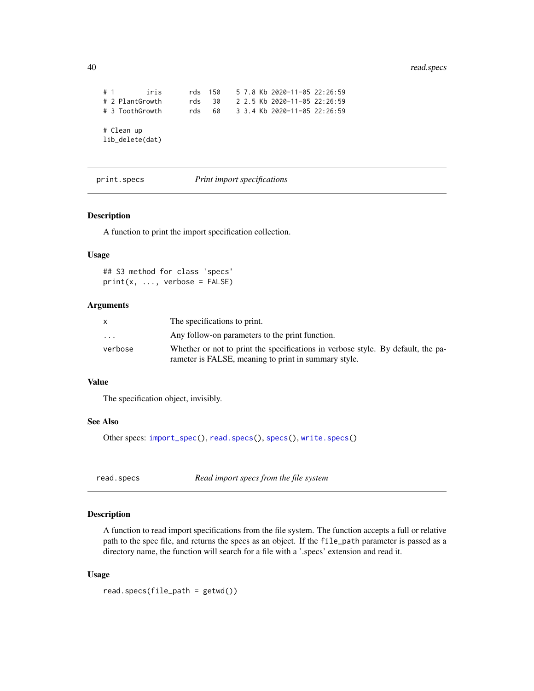```
# 1 iris rds 150 5 7.8 Kb 2020-11-05 22:26:59
# 2 PlantGrowth rds 30 2 2.5 Kb 2020-11-05 22:26:59
# 3 ToothGrowth rds 60 3 3.4 Kb 2020-11-05 22:26:59
# Clean up
lib_delete(dat)
```
<span id="page-39-1"></span>print.specs *Print import specifications*

# Description

A function to print the import specification collection.

# Usage

## S3 method for class 'specs' print(x, ..., verbose = FALSE)

# Arguments

|          | The specifications to print.                                                     |
|----------|----------------------------------------------------------------------------------|
| $\cdots$ | Any follow-on parameters to the print function.                                  |
| verbose  | Whether or not to print the specifications in verbose style. By default, the pa- |
|          | rameter is FALSE, meaning to print in summary style.                             |

#### Value

The specification object, invisibly.

# See Also

Other specs: [import\\_spec\(](#page-14-1)), [read.specs\(](#page-39-2)), [specs\(](#page-40-1)), [write.specs\(](#page-42-1))

<span id="page-39-2"></span>read.specs *Read import specs from the file system*

# Description

A function to read import specifications from the file system. The function accepts a full or relative path to the spec file, and returns the specs as an object. If the file\_path parameter is passed as a directory name, the function will search for a file with a '.specs' extension and read it.

#### Usage

```
read.specs(file_path = getwd())
```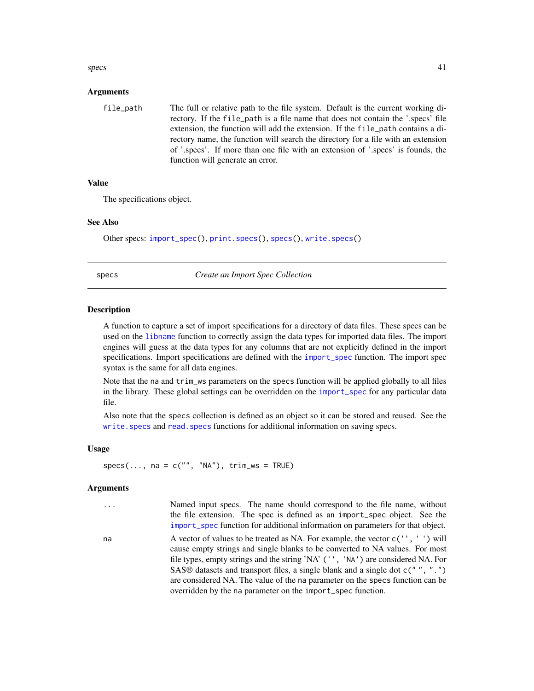#### <span id="page-40-0"></span> $s$ pecs  $\frac{41}{2}$

#### Arguments

| file_path | The full or relative path to the file system. Default is the current working di-  |
|-----------|-----------------------------------------------------------------------------------|
|           | rectory. If the file_path is a file name that does not contain the 'specs' file   |
|           | extension, the function will add the extension. If the file_path contains a di-   |
|           | rectory name, the function will search the directory for a file with an extension |
|           | of '.specs'. If more than one file with an extension of '.specs' is founds, the   |
|           | function will generate an error.                                                  |

# Value

The specifications object.

#### See Also

Other specs: [import\\_spec\(](#page-14-1)), [print.specs\(](#page-39-1)), [specs\(](#page-40-1)), [write.specs\(](#page-42-1))

<span id="page-40-1"></span>specs *Create an Import Spec Collection*

#### Description

A function to capture a set of import specifications for a directory of data files. These specs can be used on the [libname](#page-16-1) function to correctly assign the data types for imported data files. The import engines will guess at the data types for any columns that are not explicitly defined in the import specifications. Import specifications are defined with the [import\\_spec](#page-14-1) function. The import spec syntax is the same for all data engines.

Note that the na and trim\_ws parameters on the specs function will be applied globally to all files in the library. These global settings can be overridden on the [import\\_spec](#page-14-1) for any particular data file.

Also note that the specs collection is defined as an object so it can be stored and reused. See the write. specs and read. specs functions for additional information on saving specs.

#### Usage

 $specs(..., na = c("", "NA")$ ,  $trim_ws = TRUE)$ 

# Arguments

... Named input specs. The name should correspond to the file name, without the file extension. The spec is defined as an import\_spec object. See the [import\\_spec](#page-14-1) function for additional information on parameters for that object.

na A vector of values to be treated as NA. For example, the vector  $c('', '')$  will cause empty strings and single blanks to be converted to NA values. For most file types, empty strings and the string 'NA' ('', 'NA') are considered NA. For SAS® datasets and transport files, a single blank and a single dot c(" ", ".") are considered NA. The value of the na parameter on the specs function can be overridden by the na parameter on the import\_spec function.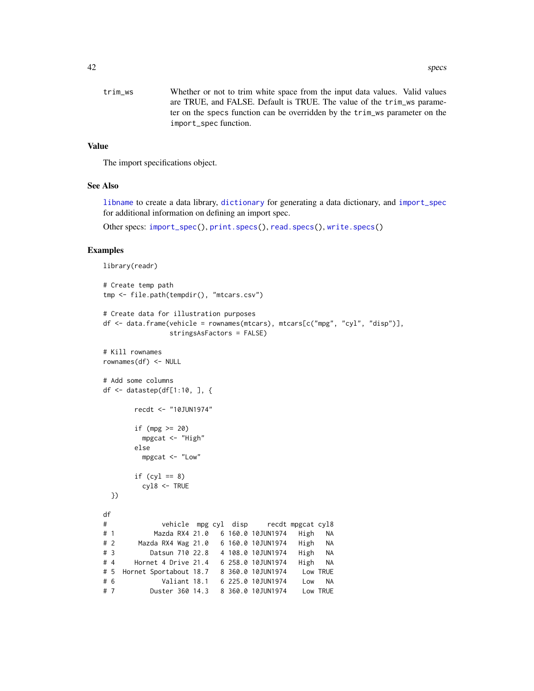```
trim_ws Whether or not to trim white space from the input data values. Valid values
                 are TRUE, and FALSE. Default is TRUE. The value of the trim_ws parame-
                 ter on the specs function can be overridden by the trim_ws parameter on the
                 import_spec function.
```
#### Value

The import specifications object.

# See Also

[libname](#page-16-1) to create a data library, [dictionary](#page-9-1) for generating a data dictionary, and [import\\_spec](#page-14-1) for additional information on defining an import spec.

Other specs: [import\\_spec\(](#page-14-1)), [print.specs\(](#page-39-1)), [read.specs\(](#page-39-2)), [write.specs\(](#page-42-1))

```
library(readr)
# Create temp path
tmp <- file.path(tempdir(), "mtcars.csv")
# Create data for illustration purposes
df <- data.frame(vehicle = rownames(mtcars), mtcars[c("mpg", "cyl", "disp")],
               stringsAsFactors = FALSE)
# Kill rownames
rownames(df) <- NULL
# Add some columns
df <- datastep(df[1:10, ], {
       recdt <- "10JUN1974"
       if (mpg >= 20)
        mpgcat <- "High"
       else
        mpgcat <- "Low"
       if (cyl == 8)cyl8 < - TRUE
 })
df
# vehicle mpg cyl disp recdt mpgcat cyl8
# 1 Mazda RX4 21.0 6 160.0 10JUN1974 High NA
# 2 Mazda RX4 Wag 21.0 6 160.0 10JUN1974 High NA
# 3 Datsun 710 22.8 4 108.0 10JUN1974 High NA
# 4 Hornet 4 Drive 21.4 6 258.0 10JUN1974 High NA
# 5 Hornet Sportabout 18.7 8 360.0 10JUN1974 Low TRUE
# 6 Valiant 18.1 6 225.0 10JUN1974 Low NA
# 7 Duster 360 14.3 8 360.0 10JUN1974 Low TRUE
```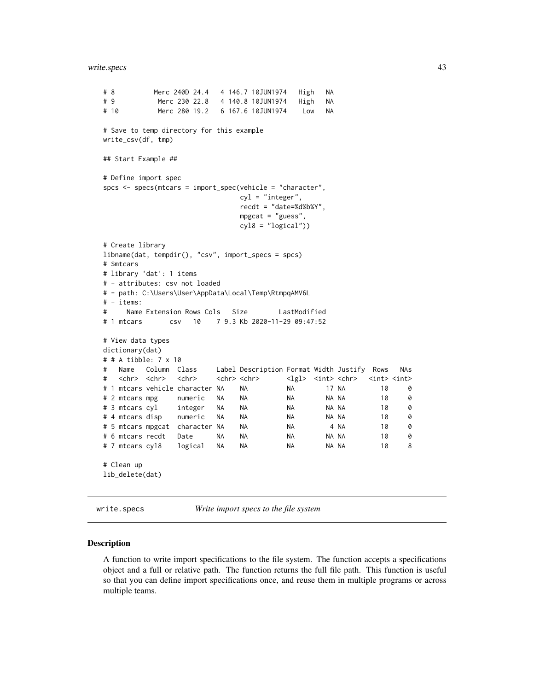```
# 8 Merc 240D 24.4 4 146.7 10JUN1974 High NA
# 9 Merc 230 22.8 4 140.8 10JUN1974 High NA
# 10 Merc 280 19.2 6 167.6 10JUN1974 Low NA
# Save to temp directory for this example
write_csv(df, tmp)
## Start Example ##
# Define import spec
spcs <- specs(mtcars = import_spec(vehicle = "character",
                           cyl = "integer",
                           recdt = "date=%d%b%Y",
                           mpgcat = "guess",
                           cyl8 = "logical")# Create library
libname(dat, tempdir(), "csv", import_specs = spcs)
# $mtcars
# library 'dat': 1 items
# - attributes: csv not loaded
# - path: C:\Users\User\AppData\Local\Temp\RtmpqAMV6L
# - items:
# Name Extension Rows Cols Size LastModified
# 1 mtcars csv 10 7 9.3 Kb 2020-11-29 09:47:52
# View data types
dictionary(dat)
# # A tibble: 7 x 10
# Name Column Class Label Description Format Width Justify Rows NAs
# <chr> <chr> <chr> <chr> <chr> <lgl> <int> <chr> <int> <int>
# 1 mtcars vehicle character NA NA NA 17 NA 10 0
# 2 mtcars mpg numeric NA NA NA NA NA 10 0
# 3 mtcars cyl integer NA NA NA NA NA 10 0
# 4 mtcars disp numeric NA NA NA NA NA 10 0
# 5 mtcars mpgcat character NA NA NA 4 NA 10 0
# 6 mtcars recdt Date NA NA NA NA NA 10 0
# 7 mtcars cyl8 logical NA NA NA NA NA 10 8
# Clean up
lib_delete(dat)
```
<span id="page-42-1"></span>write.specs *Write import specs to the file system*

#### Description

A function to write import specifications to the file system. The function accepts a specifications object and a full or relative path. The function returns the full file path. This function is useful so that you can define import specifications once, and reuse them in multiple programs or across multiple teams.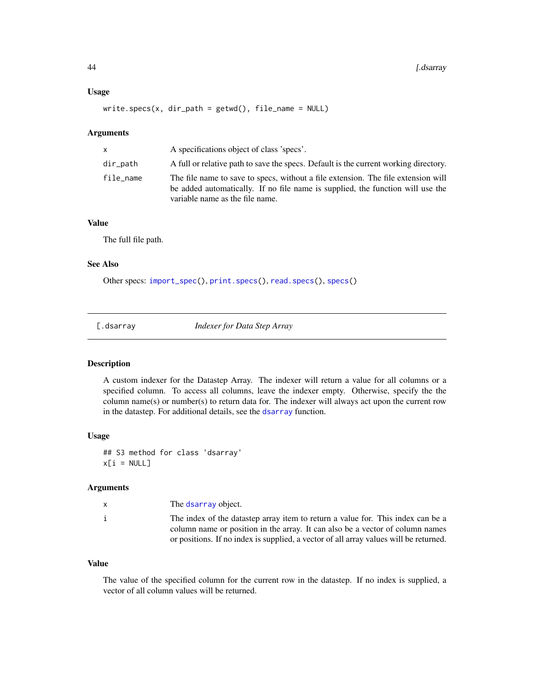# <span id="page-43-0"></span>Usage

```
write.\nspecs(x, dir\_path = getwd(), file\_name = NULL)
```
#### Arguments

| x.        | A specifications object of class 'specs'.                                                                                                                                                              |
|-----------|--------------------------------------------------------------------------------------------------------------------------------------------------------------------------------------------------------|
| dir_path  | A full or relative path to save the specs. Default is the current working directory.                                                                                                                   |
| file_name | The file name to save to specs, without a file extension. The file extension will<br>be added automatically. If no file name is supplied, the function will use the<br>variable name as the file name. |

# Value

The full file path.

# See Also

Other specs: [import\\_spec\(](#page-14-1)), [print.specs\(](#page-39-1)), [read.specs\(](#page-39-2)), [specs\(](#page-40-1))

<span id="page-43-1"></span>[.dsarray *Indexer for Data Step Array*

# Description

A custom indexer for the Datastep Array. The indexer will return a value for all columns or a specified column. To access all columns, leave the indexer empty. Otherwise, specify the the column name(s) or number(s) to return data for. The indexer will always act upon the current row in the datastep. For additional details, see the [dsarray](#page-10-1) function.

# Usage

## S3 method for class 'dsarray'  $x[i = NULL]$ 

# Arguments

| The dsarray object.                                                                   |
|---------------------------------------------------------------------------------------|
| The index of the datastep array item to return a value for. This index can be a       |
| column name or position in the array. It can also be a vector of column names         |
| or positions. If no index is supplied, a vector of all array values will be returned. |

# Value

The value of the specified column for the current row in the datastep. If no index is supplied, a vector of all column values will be returned.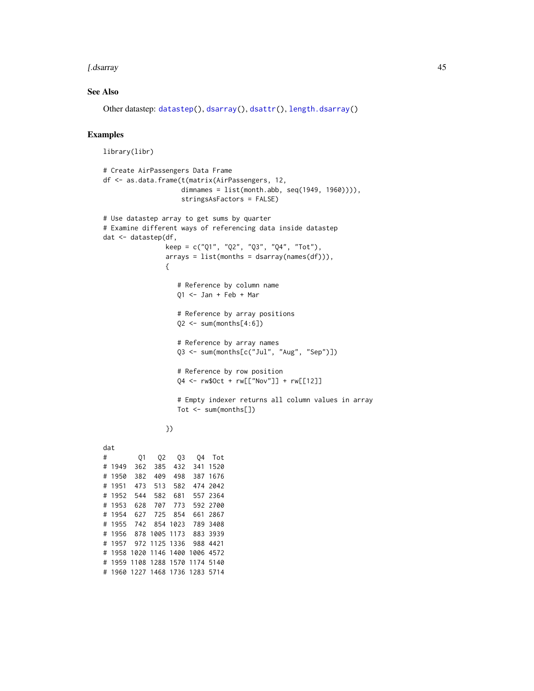#### <span id="page-44-0"></span>[.dsarray 45

# See Also

Other datastep: [datastep\(](#page-1-1)), [dsarray\(](#page-10-1)), [dsattr\(](#page-12-1)), [length.dsarray\(](#page-16-2))

# Examples

```
library(libr)
```

```
# Create AirPassengers Data Frame
df <- as.data.frame(t(matrix(AirPassengers, 12,
                    dimnames = list(month.abb, seq(1949, 1960)))),
                    stringsAsFactors = FALSE)
# Use datastep array to get sums by quarter
# Examine different ways of referencing data inside datastep
dat <- datastep(df,
                keep = c("Q1", "Q2", "Q3", "Q4", "Tot"),
                arrays = list(months = dsarray(names(df))),{
                   # Reference by column name
                   Q1 \le - Jan + Feb + Mar
                   # Reference by array positions
                   Q2 \le -\text{sum}( \text{months}[4:6])# Reference by array names
                   Q3 <- sum(months[c("Jul", "Aug", "Sep")])
                   # Reference by row position
                   Q4 <- rw$Oct + rw[["Nov"]] + rw[[12]]
                   # Empty indexer returns all column values in array
                   Tot <- sum(months[])
```
})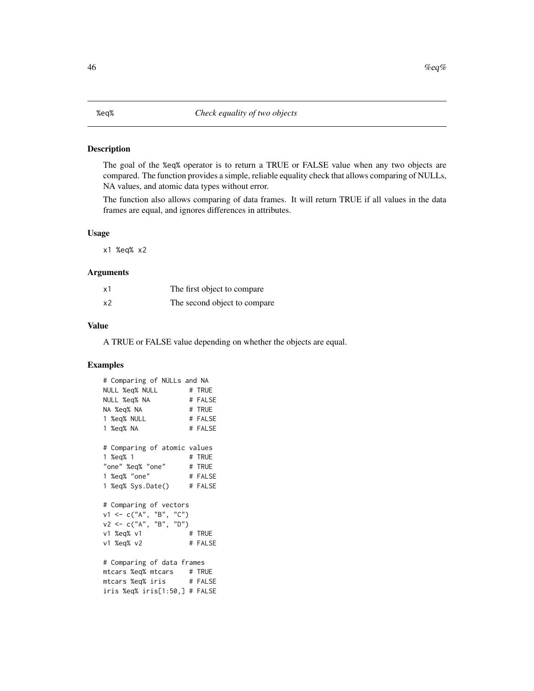# <span id="page-45-1"></span><span id="page-45-0"></span>Description

The goal of the %eq% operator is to return a TRUE or FALSE value when any two objects are compared. The function provides a simple, reliable equality check that allows comparing of NULLs, NA values, and atomic data types without error.

The function also allows comparing of data frames. It will return TRUE if all values in the data frames are equal, and ignores differences in attributes.

# Usage

x1 %eq% x2

# Arguments

| x1 | The first object to compare  |
|----|------------------------------|
| x2 | The second object to compare |

# Value

A TRUE or FALSE value depending on whether the objects are equal.

| # Comparing of NULLs and NA      |  |         |  |  |
|----------------------------------|--|---------|--|--|
| NULL %eq% NULL                   |  | # TRUE  |  |  |
| NULL %eg% NA                     |  | # FALSE |  |  |
| NA %eq% NA                       |  | # TRUE  |  |  |
| 1 %eq% NULL                      |  | # FALSE |  |  |
| 1 %eg% NA                        |  | # FALSE |  |  |
| # Comparing of atomic values     |  |         |  |  |
| 1 %eg% 1                         |  | # TRUE  |  |  |
| "one" %eq% "one"                 |  | # TRUE  |  |  |
| 1 %eq% "one"                     |  | # FALSE |  |  |
| 1 %eq% Sys.Date()                |  | # FALSE |  |  |
| # Comparing of vectors           |  |         |  |  |
| $v1 \leq -c("A", "B", "C")$      |  |         |  |  |
| $v2 \leq -c("A", "B", "D")$      |  |         |  |  |
| v1 %eq% v1<br># TRUE             |  |         |  |  |
| v1 %eg% v2                       |  | # FALSE |  |  |
| # Comparing of data frames       |  |         |  |  |
| mtcars %eq% mtcars # TRUE        |  |         |  |  |
| mtcars %eq% iris # FALSE         |  |         |  |  |
| iris %eq% $iris[1:50, ]$ # FALSE |  |         |  |  |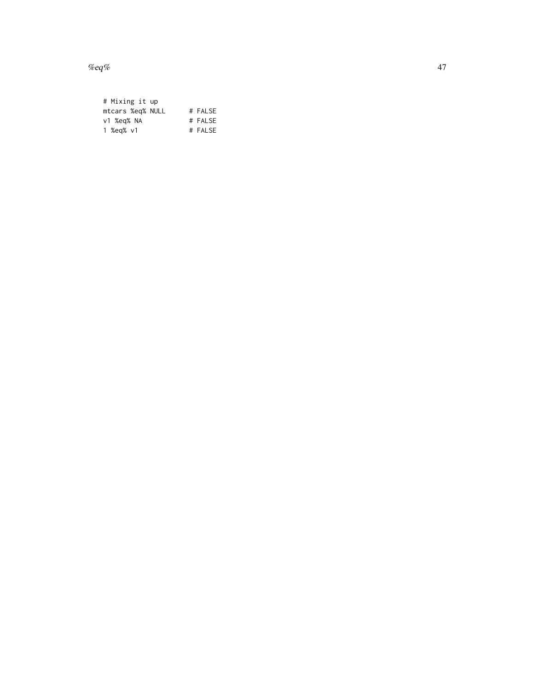%eq% and the set of  $47$ 

| # Mixing it up   |          |
|------------------|----------|
| mtcars %eg% NULL | # FAISF  |
| v1 %eg% NA       | # FAI SF |
| 1 %eg% v1        | # FAISF  |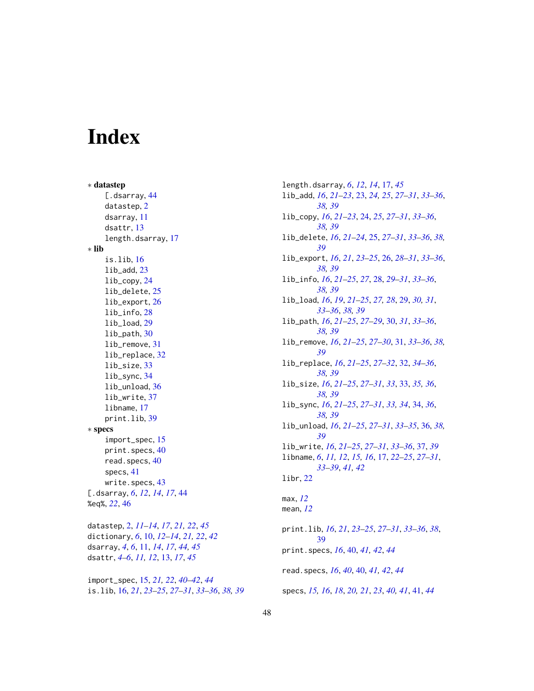# <span id="page-47-0"></span>**Index**

∗ datastep [.dsarray, [44](#page-43-0) datastep, [2](#page-1-0) dsarray, [11](#page-10-0) dsattr, [13](#page-12-0) length.dsarray, [17](#page-16-0) ∗ lib is.lib, [16](#page-15-0) lib\_add, [23](#page-22-0) lib\_copy, [24](#page-23-0) lib\_delete, [25](#page-24-0) lib\_export, [26](#page-25-0) lib\_info, [28](#page-27-0) lib\_load, [29](#page-28-0) lib\_path, [30](#page-29-0) lib\_remove, [31](#page-30-0) lib\_replace, [32](#page-31-0) lib\_size, [33](#page-32-0) lib\_sync, [34](#page-33-0) lib\_unload, [36](#page-35-0) lib\_write, [37](#page-36-0) libname, [17](#page-16-0) print.lib, [39](#page-38-0) ∗ specs import\_spec, [15](#page-14-0) print.specs, [40](#page-39-0) read.specs, [40](#page-39-0) specs, [41](#page-40-0) write.specs, [43](#page-42-0) [.dsarray, *[6](#page-5-0)*, *[12](#page-11-0)*, *[14](#page-13-0)*, *[17](#page-16-0)*, [44](#page-43-0) %eq%, *[22](#page-21-0)*, [46](#page-45-0)

datastep, [2,](#page-1-0) *[11](#page-10-0)[–14](#page-13-0)*, *[17](#page-16-0)*, *[21,](#page-20-0) [22](#page-21-0)*, *[45](#page-44-0)* dictionary, *[6](#page-5-0)*, [10,](#page-9-0) *[12](#page-11-0)[–14](#page-13-0)*, *[21,](#page-20-0) [22](#page-21-0)*, *[42](#page-41-0)* dsarray, *[4](#page-3-0)*, *[6](#page-5-0)*, [11,](#page-10-0) *[14](#page-13-0)*, *[17](#page-16-0)*, *[44,](#page-43-0) [45](#page-44-0)* dsattr, *[4](#page-3-0)[–6](#page-5-0)*, *[11,](#page-10-0) [12](#page-11-0)*, [13,](#page-12-0) *[17](#page-16-0)*, *[45](#page-44-0)*

import\_spec, [15,](#page-14-0) *[21,](#page-20-0) [22](#page-21-0)*, *[40–](#page-39-0)[42](#page-41-0)*, *[44](#page-43-0)* is.lib, [16,](#page-15-0) *[21](#page-20-0)*, *[23](#page-22-0)[–25](#page-24-0)*, *[27–](#page-26-0)[31](#page-30-0)*, *[33–](#page-32-0)[36](#page-35-0)*, *[38,](#page-37-0) [39](#page-38-0)* length.dsarray, *[6](#page-5-0)*, *[12](#page-11-0)*, *[14](#page-13-0)*, [17,](#page-16-0) *[45](#page-44-0)* lib\_add, *[16](#page-15-0)*, *[21](#page-20-0)[–23](#page-22-0)*, [23,](#page-22-0) *[24,](#page-23-0) [25](#page-24-0)*, *[27](#page-26-0)[–31](#page-30-0)*, *[33](#page-32-0)[–36](#page-35-0)*, *[38,](#page-37-0) [39](#page-38-0)* lib\_copy, *[16](#page-15-0)*, *[21](#page-20-0)[–23](#page-22-0)*, [24,](#page-23-0) *[25](#page-24-0)*, *[27](#page-26-0)[–31](#page-30-0)*, *[33](#page-32-0)[–36](#page-35-0)*, *[38,](#page-37-0) [39](#page-38-0)* lib\_delete, *[16](#page-15-0)*, *[21](#page-20-0)[–24](#page-23-0)*, [25,](#page-24-0) *[27](#page-26-0)[–31](#page-30-0)*, *[33](#page-32-0)[–36](#page-35-0)*, *[38,](#page-37-0) [39](#page-38-0)* lib\_export, *[16](#page-15-0)*, *[21](#page-20-0)*, *[23](#page-22-0)[–25](#page-24-0)*, [26,](#page-25-0) *[28](#page-27-0)[–31](#page-30-0)*, *[33](#page-32-0)[–36](#page-35-0)*, *[38,](#page-37-0) [39](#page-38-0)* lib\_info, *[16](#page-15-0)*, *[21](#page-20-0)[–25](#page-24-0)*, *[27](#page-26-0)*, [28,](#page-27-0) *[29](#page-28-0)[–31](#page-30-0)*, *[33](#page-32-0)[–36](#page-35-0)*, *[38,](#page-37-0) [39](#page-38-0)* lib\_load, *[16](#page-15-0)*, *[19](#page-18-0)*, *[21](#page-20-0)[–25](#page-24-0)*, *[27,](#page-26-0) [28](#page-27-0)*, [29,](#page-28-0) *[30,](#page-29-0) [31](#page-30-0)*, *[33](#page-32-0)[–36](#page-35-0)*, *[38,](#page-37-0) [39](#page-38-0)* lib\_path, *[16](#page-15-0)*, *[21](#page-20-0)[–25](#page-24-0)*, *[27](#page-26-0)[–29](#page-28-0)*, [30,](#page-29-0) *[31](#page-30-0)*, *[33](#page-32-0)[–36](#page-35-0)*, *[38,](#page-37-0) [39](#page-38-0)* lib\_remove, *[16](#page-15-0)*, *[21](#page-20-0)[–25](#page-24-0)*, *[27](#page-26-0)[–30](#page-29-0)*, [31,](#page-30-0) *[33](#page-32-0)[–36](#page-35-0)*, *[38,](#page-37-0) [39](#page-38-0)* lib\_replace, *[16](#page-15-0)*, *[21](#page-20-0)[–25](#page-24-0)*, *[27](#page-26-0)[–32](#page-31-0)*, [32,](#page-31-0) *[34](#page-33-0)[–36](#page-35-0)*, *[38,](#page-37-0) [39](#page-38-0)* lib\_size, *[16](#page-15-0)*, *[21](#page-20-0)[–25](#page-24-0)*, *[27](#page-26-0)[–31](#page-30-0)*, *[33](#page-32-0)*, [33,](#page-32-0) *[35,](#page-34-0) [36](#page-35-0)*, *[38,](#page-37-0) [39](#page-38-0)* lib\_sync, *[16](#page-15-0)*, *[21](#page-20-0)[–25](#page-24-0)*, *[27](#page-26-0)[–31](#page-30-0)*, *[33,](#page-32-0) [34](#page-33-0)*, [34,](#page-33-0) *[36](#page-35-0)*, *[38,](#page-37-0) [39](#page-38-0)* lib\_unload, *[16](#page-15-0)*, *[21](#page-20-0)[–25](#page-24-0)*, *[27](#page-26-0)[–31](#page-30-0)*, *[33](#page-32-0)[–35](#page-34-0)*, [36,](#page-35-0) *[38,](#page-37-0) [39](#page-38-0)* lib\_write, *[16](#page-15-0)*, *[21](#page-20-0)[–25](#page-24-0)*, *[27](#page-26-0)[–31](#page-30-0)*, *[33](#page-32-0)[–36](#page-35-0)*, [37,](#page-36-0) *[39](#page-38-0)* libname, *[6](#page-5-0)*, *[11,](#page-10-0) [12](#page-11-0)*, *[15,](#page-14-0) [16](#page-15-0)*, [17,](#page-16-0) *[22](#page-21-0)[–25](#page-24-0)*, *[27](#page-26-0)[–31](#page-30-0)*, *[33](#page-32-0)[–39](#page-38-0)*, *[41,](#page-40-0) [42](#page-41-0)* libr, [22](#page-21-0) max, *[12](#page-11-0)* mean, *[12](#page-11-0)* print.lib, *[16](#page-15-0)*, *[21](#page-20-0)*, *[23](#page-22-0)[–25](#page-24-0)*, *[27](#page-26-0)[–31](#page-30-0)*, *[33](#page-32-0)[–36](#page-35-0)*, *[38](#page-37-0)*, [39](#page-38-0) print.specs, *[16](#page-15-0)*, [40,](#page-39-0) *[41,](#page-40-0) [42](#page-41-0)*, *[44](#page-43-0)* read.specs, *[16](#page-15-0)*, *[40](#page-39-0)*, [40,](#page-39-0) *[41,](#page-40-0) [42](#page-41-0)*, *[44](#page-43-0)* specs, *[15,](#page-14-0) [16](#page-15-0)*, *[18](#page-17-0)*, *[20,](#page-19-0) [21](#page-20-0)*, *[23](#page-22-0)*, *[40,](#page-39-0) [41](#page-40-0)*, [41,](#page-40-0) *[44](#page-43-0)*